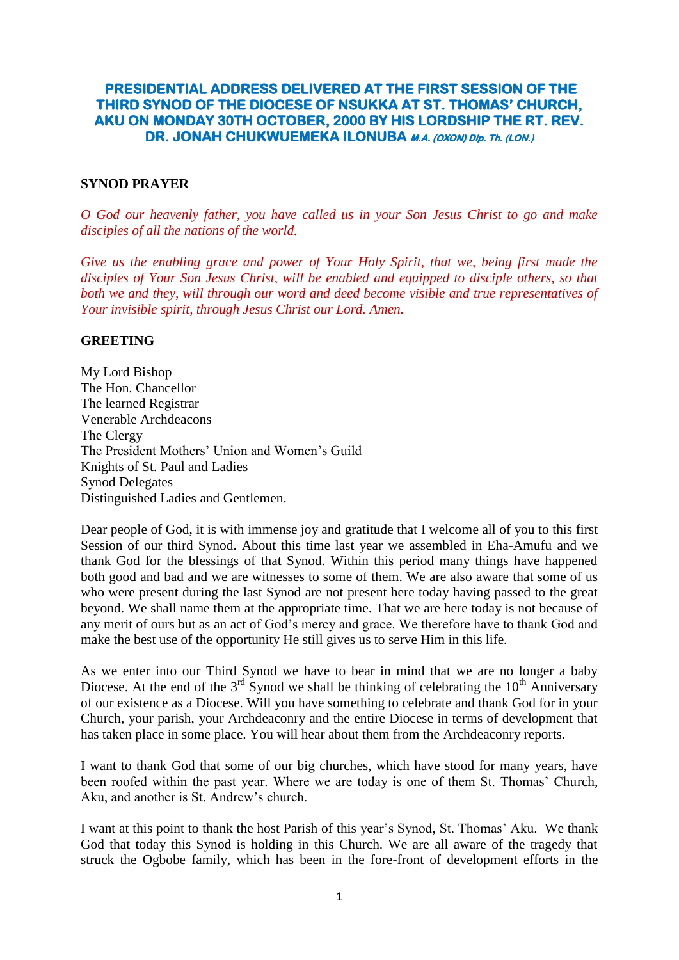# **PRESIDENTIAL ADDRESS DELIVERED AT THE FIRST SESSION OF THE THIRD SYNOD OF THE DIOCESE OF NSUKKA AT ST. THOMAS' CHURCH, AKU ON MONDAY 30TH OCTOBER, 2000 BY HIS LORDSHIP THE RT. REV. DR. JONAH CHUKWUEMEKA ILONUBA M.A. (OXON) Dip. Th. (LON.)**

#### **SYNOD PRAYER**

*O God our heavenly father, you have called us in your Son Jesus Christ to go and make disciples of all the nations of the world.*

*Give us the enabling grace and power of Your Holy Spirit, that we, being first made the disciples of Your Son Jesus Christ, will be enabled and equipped to disciple others, so that both we and they, will through our word and deed become visible and true representatives of Your invisible spirit, through Jesus Christ our Lord. Amen.*

#### **GREETING**

My Lord Bishop The Hon. Chancellor The learned Registrar Venerable Archdeacons The Clergy The President Mothers" Union and Women"s Guild Knights of St. Paul and Ladies Synod Delegates Distinguished Ladies and Gentlemen.

Dear people of God, it is with immense joy and gratitude that I welcome all of you to this first Session of our third Synod. About this time last year we assembled in Eha-Amufu and we thank God for the blessings of that Synod. Within this period many things have happened both good and bad and we are witnesses to some of them. We are also aware that some of us who were present during the last Synod are not present here today having passed to the great beyond. We shall name them at the appropriate time. That we are here today is not because of any merit of ours but as an act of God"s mercy and grace. We therefore have to thank God and make the best use of the opportunity He still gives us to serve Him in this life.

As we enter into our Third Synod we have to bear in mind that we are no longer a baby Diocese. At the end of the  $3<sup>rd</sup>$  Synod we shall be thinking of celebrating the  $10<sup>th</sup>$  Anniversary of our existence as a Diocese. Will you have something to celebrate and thank God for in your Church, your parish, your Archdeaconry and the entire Diocese in terms of development that has taken place in some place. You will hear about them from the Archdeaconry reports.

I want to thank God that some of our big churches, which have stood for many years, have been roofed within the past year. Where we are today is one of them St. Thomas' Church, Aku, and another is St. Andrew's church.

I want at this point to thank the host Parish of this year"s Synod, St. Thomas" Aku. We thank God that today this Synod is holding in this Church. We are all aware of the tragedy that struck the Ogbobe family, which has been in the fore-front of development efforts in the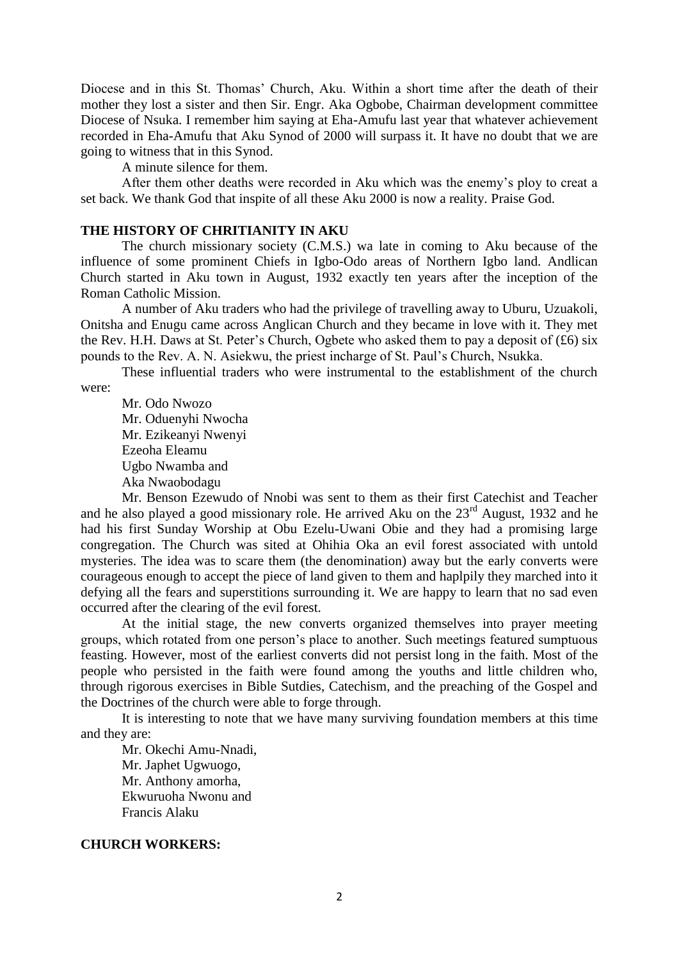Diocese and in this St. Thomas' Church, Aku. Within a short time after the death of their mother they lost a sister and then Sir. Engr. Aka Ogbobe, Chairman development committee Diocese of Nsuka. I remember him saying at Eha-Amufu last year that whatever achievement recorded in Eha-Amufu that Aku Synod of 2000 will surpass it. It have no doubt that we are going to witness that in this Synod.

A minute silence for them.

After them other deaths were recorded in Aku which was the enemy"s ploy to creat a set back. We thank God that inspite of all these Aku 2000 is now a reality. Praise God.

#### **THE HISTORY OF CHRITIANITY IN AKU**

The church missionary society (C.M.S.) wa late in coming to Aku because of the influence of some prominent Chiefs in Igbo-Odo areas of Northern Igbo land. Andlican Church started in Aku town in August, 1932 exactly ten years after the inception of the Roman Catholic Mission.

A number of Aku traders who had the privilege of travelling away to Uburu, Uzuakoli, Onitsha and Enugu came across Anglican Church and they became in love with it. They met the Rev. H.H. Daws at St. Peter's Church, Ogbete who asked them to pay a deposit of  $(£6)$  six pounds to the Rev. A. N. Asiekwu, the priest incharge of St. Paul"s Church, Nsukka.

These influential traders who were instrumental to the establishment of the church were:

Mr. Odo Nwozo Mr. Oduenyhi Nwocha Mr. Ezikeanyi Nwenyi Ezeoha Eleamu Ugbo Nwamba and Aka Nwaobodagu

Mr. Benson Ezewudo of Nnobi was sent to them as their first Catechist and Teacher and he also played a good missionary role. He arrived Aku on the  $23<sup>rd</sup>$  August, 1932 and he had his first Sunday Worship at Obu Ezelu-Uwani Obie and they had a promising large congregation. The Church was sited at Ohihia Oka an evil forest associated with untold mysteries. The idea was to scare them (the denomination) away but the early converts were courageous enough to accept the piece of land given to them and haplpily they marched into it defying all the fears and superstitions surrounding it. We are happy to learn that no sad even occurred after the clearing of the evil forest.

At the initial stage, the new converts organized themselves into prayer meeting groups, which rotated from one person"s place to another. Such meetings featured sumptuous feasting. However, most of the earliest converts did not persist long in the faith. Most of the people who persisted in the faith were found among the youths and little children who, through rigorous exercises in Bible Sutdies, Catechism, and the preaching of the Gospel and the Doctrines of the church were able to forge through.

It is interesting to note that we have many surviving foundation members at this time and they are:

Mr. Okechi Amu-Nnadi, Mr. Japhet Ugwuogo, Mr. Anthony amorha, Ekwuruoha Nwonu and Francis Alaku

#### **CHURCH WORKERS:**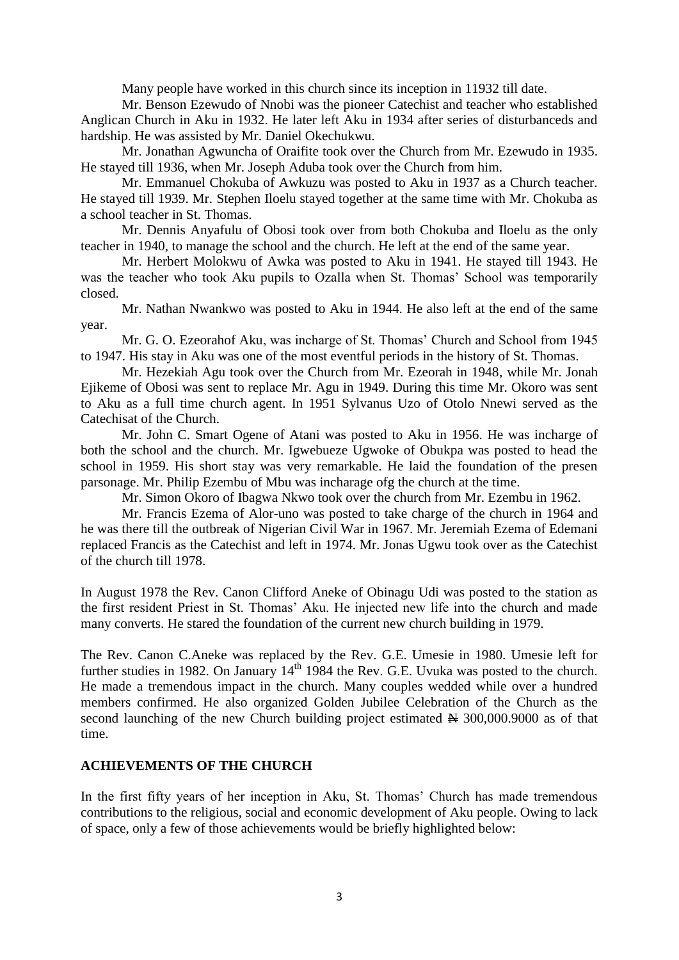Many people have worked in this church since its inception in 11932 till date.

Mr. Benson Ezewudo of Nnobi was the pioneer Catechist and teacher who established Anglican Church in Aku in 1932. He later left Aku in 1934 after series of disturbanceds and hardship. He was assisted by Mr. Daniel Okechukwu.

Mr. Jonathan Agwuncha of Oraifite took over the Church from Mr. Ezewudo in 1935. He stayed till 1936, when Mr. Joseph Aduba took over the Church from him.

Mr. Emmanuel Chokuba of Awkuzu was posted to Aku in 1937 as a Church teacher. He stayed till 1939. Mr. Stephen Iloelu stayed together at the same time with Mr. Chokuba as a school teacher in St. Thomas.

Mr. Dennis Anyafulu of Obosi took over from both Chokuba and Iloelu as the only teacher in 1940, to manage the school and the church. He left at the end of the same year.

Mr. Herbert Molokwu of Awka was posted to Aku in 1941. He stayed till 1943. He was the teacher who took Aku pupils to Ozalla when St. Thomas' School was temporarily closed.

Mr. Nathan Nwankwo was posted to Aku in 1944. He also left at the end of the same year.

Mr. G. O. Ezeorahof Aku, was incharge of St. Thomas' Church and School from 1945 to 1947. His stay in Aku was one of the most eventful periods in the history of St. Thomas.

Mr. Hezekiah Agu took over the Church from Mr. Ezeorah in 1948, while Mr. Jonah Ejikeme of Obosi was sent to replace Mr. Agu in 1949. During this time Mr. Okoro was sent to Aku as a full time church agent. In 1951 Sylvanus Uzo of Otolo Nnewi served as the Catechisat of the Church.

Mr. John C. Smart Ogene of Atani was posted to Aku in 1956. He was incharge of both the school and the church. Mr. Igwebueze Ugwoke of Obukpa was posted to head the school in 1959. His short stay was very remarkable. He laid the foundation of the presen parsonage. Mr. Philip Ezembu of Mbu was incharage ofg the church at the time.

Mr. Simon Okoro of Ibagwa Nkwo took over the church from Mr. Ezembu in 1962.

Mr. Francis Ezema of Alor-uno was posted to take charge of the church in 1964 and he was there till the outbreak of Nigerian Civil War in 1967. Mr. Jeremiah Ezema of Edemani replaced Francis as the Catechist and left in 1974. Mr. Jonas Ugwu took over as the Catechist of the church till 1978.

In August 1978 the Rev. Canon Clifford Aneke of Obinagu Udi was posted to the station as the first resident Priest in St. Thomas" Aku. He injected new life into the church and made many converts. He stared the foundation of the current new church building in 1979.

The Rev. Canon C.Aneke was replaced by the Rev. G.E. Umesie in 1980. Umesie left for further studies in 1982. On January  $14<sup>th</sup>$  1984 the Rev. G.E. Uvuka was posted to the church. He made a tremendous impact in the church. Many couples wedded while over a hundred members confirmed. He also organized Golden Jubilee Celebration of the Church as the second launching of the new Church building project estimated  $\cancel{H}$  300,000.9000 as of that time.

#### **ACHIEVEMENTS OF THE CHURCH**

In the first fifty years of her inception in Aku, St. Thomas' Church has made tremendous contributions to the religious, social and economic development of Aku people. Owing to lack of space, only a few of those achievements would be briefly highlighted below: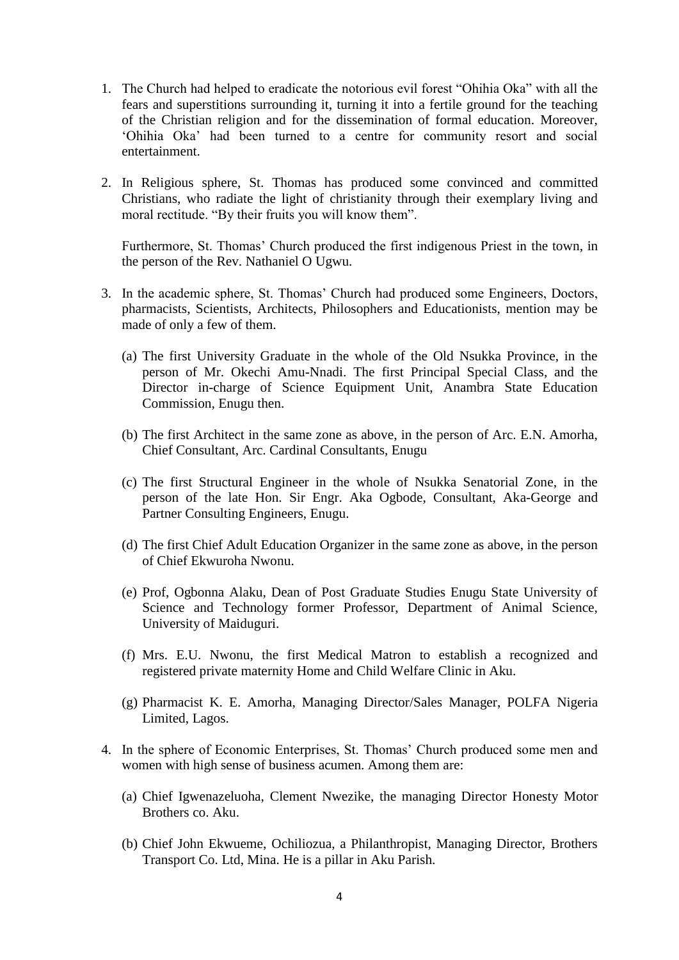- 1. The Church had helped to eradicate the notorious evil forest "Ohihia Oka" with all the fears and superstitions surrounding it, turning it into a fertile ground for the teaching of the Christian religion and for the dissemination of formal education. Moreover, "Ohihia Oka" had been turned to a centre for community resort and social entertainment.
- 2. In Religious sphere, St. Thomas has produced some convinced and committed Christians, who radiate the light of christianity through their exemplary living and moral rectitude. "By their fruits you will know them".

Furthermore, St. Thomas' Church produced the first indigenous Priest in the town, in the person of the Rev. Nathaniel O Ugwu.

- 3. In the academic sphere, St. Thomas" Church had produced some Engineers, Doctors, pharmacists, Scientists, Architects, Philosophers and Educationists, mention may be made of only a few of them.
	- (a) The first University Graduate in the whole of the Old Nsukka Province, in the person of Mr. Okechi Amu-Nnadi. The first Principal Special Class, and the Director in-charge of Science Equipment Unit, Anambra State Education Commission, Enugu then.
	- (b) The first Architect in the same zone as above, in the person of Arc. E.N. Amorha, Chief Consultant, Arc. Cardinal Consultants, Enugu
	- (c) The first Structural Engineer in the whole of Nsukka Senatorial Zone, in the person of the late Hon. Sir Engr. Aka Ogbode, Consultant, Aka-George and Partner Consulting Engineers, Enugu.
	- (d) The first Chief Adult Education Organizer in the same zone as above, in the person of Chief Ekwuroha Nwonu.
	- (e) Prof, Ogbonna Alaku, Dean of Post Graduate Studies Enugu State University of Science and Technology former Professor, Department of Animal Science, University of Maiduguri.
	- (f) Mrs. E.U. Nwonu, the first Medical Matron to establish a recognized and registered private maternity Home and Child Welfare Clinic in Aku.
	- (g) Pharmacist K. E. Amorha, Managing Director/Sales Manager, POLFA Nigeria Limited, Lagos.
- 4. In the sphere of Economic Enterprises, St. Thomas" Church produced some men and women with high sense of business acumen. Among them are:
	- (a) Chief Igwenazeluoha, Clement Nwezike, the managing Director Honesty Motor Brothers co. Aku.
	- (b) Chief John Ekwueme, Ochiliozua, a Philanthropist, Managing Director, Brothers Transport Co. Ltd, Mina. He is a pillar in Aku Parish.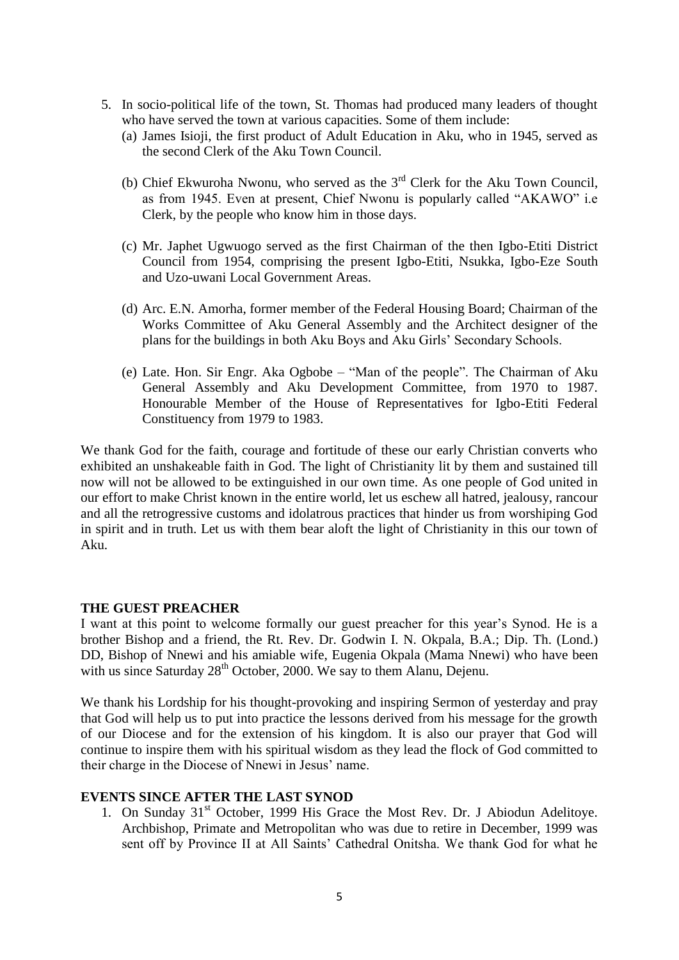- 5. In socio-political life of the town, St. Thomas had produced many leaders of thought who have served the town at various capacities. Some of them include:
	- (a) James Isioji, the first product of Adult Education in Aku, who in 1945, served as the second Clerk of the Aku Town Council.
	- (b) Chief Ekwuroha Nwonu, who served as the  $3<sup>rd</sup>$  Clerk for the Aku Town Council, as from 1945. Even at present, Chief Nwonu is popularly called "AKAWO" i.e Clerk, by the people who know him in those days.
	- (c) Mr. Japhet Ugwuogo served as the first Chairman of the then Igbo-Etiti District Council from 1954, comprising the present Igbo-Etiti, Nsukka, Igbo-Eze South and Uzo-uwani Local Government Areas.
	- (d) Arc. E.N. Amorha, former member of the Federal Housing Board; Chairman of the Works Committee of Aku General Assembly and the Architect designer of the plans for the buildings in both Aku Boys and Aku Girls" Secondary Schools.
	- (e) Late. Hon. Sir Engr. Aka Ogbobe "Man of the people". The Chairman of Aku General Assembly and Aku Development Committee, from 1970 to 1987. Honourable Member of the House of Representatives for Igbo-Etiti Federal Constituency from 1979 to 1983.

We thank God for the faith, courage and fortitude of these our early Christian converts who exhibited an unshakeable faith in God. The light of Christianity lit by them and sustained till now will not be allowed to be extinguished in our own time. As one people of God united in our effort to make Christ known in the entire world, let us eschew all hatred, jealousy, rancour and all the retrogressive customs and idolatrous practices that hinder us from worshiping God in spirit and in truth. Let us with them bear aloft the light of Christianity in this our town of Aku.

### **THE GUEST PREACHER**

I want at this point to welcome formally our guest preacher for this year"s Synod. He is a brother Bishop and a friend, the Rt. Rev. Dr. Godwin I. N. Okpala, B.A.; Dip. Th. (Lond.) DD, Bishop of Nnewi and his amiable wife, Eugenia Okpala (Mama Nnewi) who have been with us since Saturday 28<sup>th</sup> October, 2000. We say to them Alanu, Dejenu.

We thank his Lordship for his thought-provoking and inspiring Sermon of yesterday and pray that God will help us to put into practice the lessons derived from his message for the growth of our Diocese and for the extension of his kingdom. It is also our prayer that God will continue to inspire them with his spiritual wisdom as they lead the flock of God committed to their charge in the Diocese of Nnewi in Jesus" name.

## **EVENTS SINCE AFTER THE LAST SYNOD**

1. On Sunday 31<sup>st</sup> October, 1999 His Grace the Most Rev. Dr. J Abiodun Adelitoye. Archbishop, Primate and Metropolitan who was due to retire in December, 1999 was sent off by Province II at All Saints' Cathedral Onitsha. We thank God for what he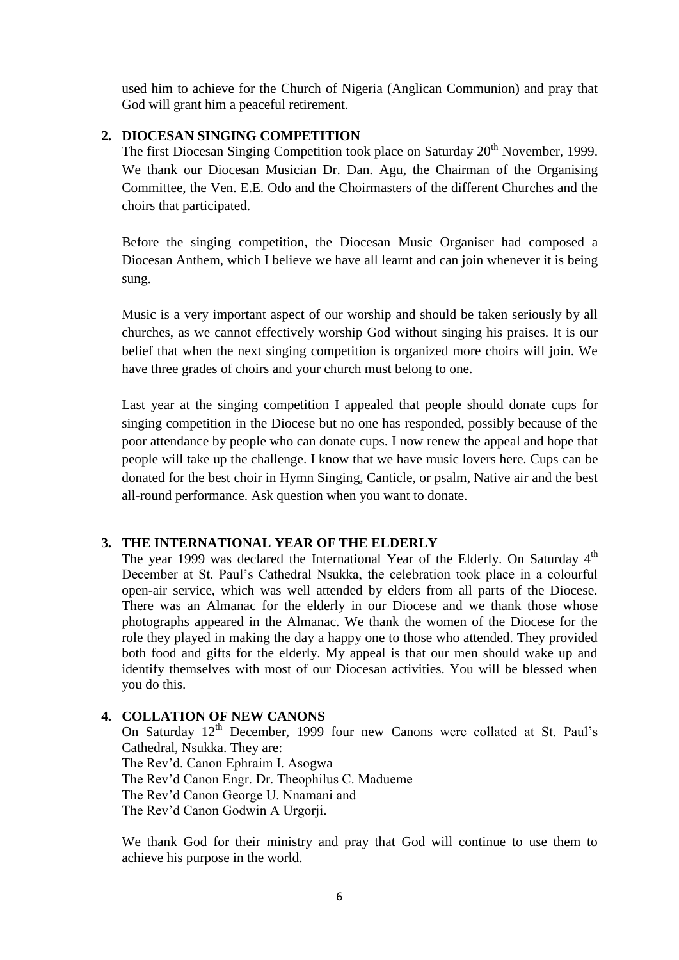used him to achieve for the Church of Nigeria (Anglican Communion) and pray that God will grant him a peaceful retirement.

## **2. DIOCESAN SINGING COMPETITION**

The first Diocesan Singing Competition took place on Saturday 20<sup>th</sup> November, 1999. We thank our Diocesan Musician Dr. Dan. Agu, the Chairman of the Organising Committee, the Ven. E.E. Odo and the Choirmasters of the different Churches and the choirs that participated.

Before the singing competition, the Diocesan Music Organiser had composed a Diocesan Anthem, which I believe we have all learnt and can join whenever it is being sung.

Music is a very important aspect of our worship and should be taken seriously by all churches, as we cannot effectively worship God without singing his praises. It is our belief that when the next singing competition is organized more choirs will join. We have three grades of choirs and your church must belong to one.

Last year at the singing competition I appealed that people should donate cups for singing competition in the Diocese but no one has responded, possibly because of the poor attendance by people who can donate cups. I now renew the appeal and hope that people will take up the challenge. I know that we have music lovers here. Cups can be donated for the best choir in Hymn Singing, Canticle, or psalm, Native air and the best all-round performance. Ask question when you want to donate.

### **3. THE INTERNATIONAL YEAR OF THE ELDERLY**

The year 1999 was declared the International Year of the Elderly. On Saturday  $4<sup>th</sup>$ December at St. Paul"s Cathedral Nsukka, the celebration took place in a colourful open-air service, which was well attended by elders from all parts of the Diocese. There was an Almanac for the elderly in our Diocese and we thank those whose photographs appeared in the Almanac. We thank the women of the Diocese for the role they played in making the day a happy one to those who attended. They provided both food and gifts for the elderly. My appeal is that our men should wake up and identify themselves with most of our Diocesan activities. You will be blessed when you do this.

# **4. COLLATION OF NEW CANONS**

On Saturday 12<sup>th</sup> December, 1999 four new Canons were collated at St. Paul's Cathedral, Nsukka. They are: The Rev"d. Canon Ephraim I. Asogwa The Rev"d Canon Engr. Dr. Theophilus C. Madueme The Rev"d Canon George U. Nnamani and The Rev"d Canon Godwin A Urgorji.

We thank God for their ministry and pray that God will continue to use them to achieve his purpose in the world.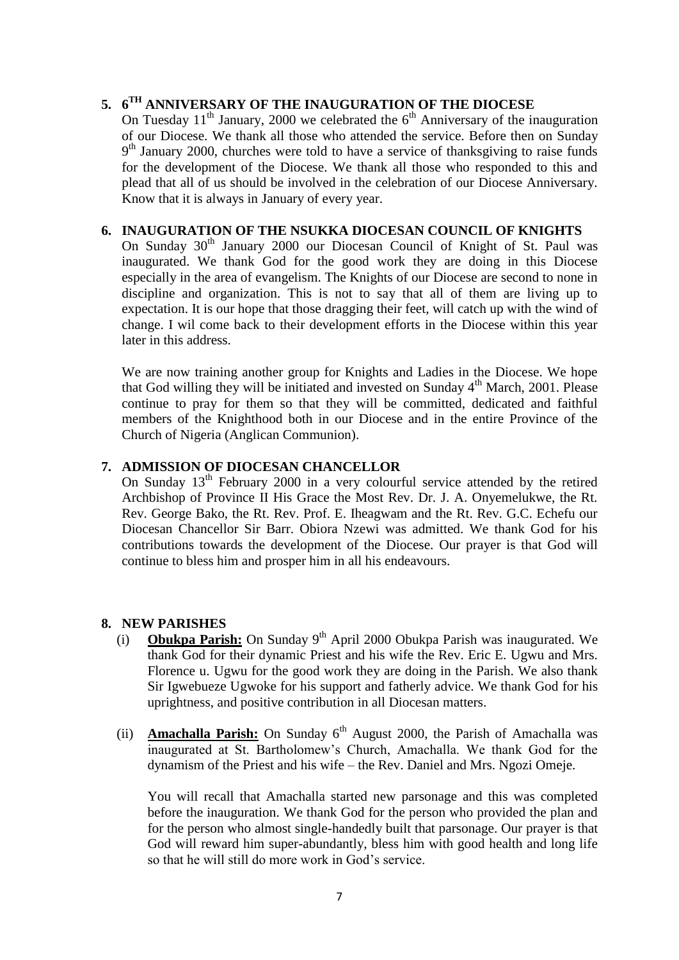# **5. 6 TH ANNIVERSARY OF THE INAUGURATION OF THE DIOCESE**

On Tuesday  $11<sup>th</sup>$  January, 2000 we celebrated the  $6<sup>th</sup>$  Anniversary of the inauguration of our Diocese. We thank all those who attended the service. Before then on Sunday 9<sup>th</sup> January 2000, churches were told to have a service of thanksgiving to raise funds for the development of the Diocese. We thank all those who responded to this and plead that all of us should be involved in the celebration of our Diocese Anniversary. Know that it is always in January of every year.

### **6. INAUGURATION OF THE NSUKKA DIOCESAN COUNCIL OF KNIGHTS**

On Sunday 30<sup>th</sup> January 2000 our Diocesan Council of Knight of St. Paul was inaugurated. We thank God for the good work they are doing in this Diocese especially in the area of evangelism. The Knights of our Diocese are second to none in discipline and organization. This is not to say that all of them are living up to expectation. It is our hope that those dragging their feet, will catch up with the wind of change. I wil come back to their development efforts in the Diocese within this year later in this address.

We are now training another group for Knights and Ladies in the Diocese. We hope that God willing they will be initiated and invested on Sunday  $4<sup>th</sup>$  March, 2001. Please continue to pray for them so that they will be committed, dedicated and faithful members of the Knighthood both in our Diocese and in the entire Province of the Church of Nigeria (Anglican Communion).

## **7. ADMISSION OF DIOCESAN CHANCELLOR**

On Sunday  $13<sup>th</sup>$  February 2000 in a very colourful service attended by the retired Archbishop of Province II His Grace the Most Rev. Dr. J. A. Onyemelukwe, the Rt. Rev. George Bako, the Rt. Rev. Prof. E. Iheagwam and the Rt. Rev. G.C. Echefu our Diocesan Chancellor Sir Barr. Obiora Nzewi was admitted. We thank God for his contributions towards the development of the Diocese. Our prayer is that God will continue to bless him and prosper him in all his endeavours.

# **8. NEW PARISHES**

- (i) **Obukpa Parish:** On Sunday 9<sup>th</sup> April 2000 Obukpa Parish was inaugurated. We thank God for their dynamic Priest and his wife the Rev. Eric E. Ugwu and Mrs. Florence u. Ugwu for the good work they are doing in the Parish. We also thank Sir Igwebueze Ugwoke for his support and fatherly advice. We thank God for his uprightness, and positive contribution in all Diocesan matters.
- (ii) **Amachalla Parish:** On Sunday  $6<sup>th</sup>$  August 2000, the Parish of Amachalla was inaugurated at St. Bartholomew"s Church, Amachalla. We thank God for the dynamism of the Priest and his wife – the Rev. Daniel and Mrs. Ngozi Omeje.

You will recall that Amachalla started new parsonage and this was completed before the inauguration. We thank God for the person who provided the plan and for the person who almost single-handedly built that parsonage. Our prayer is that God will reward him super-abundantly, bless him with good health and long life so that he will still do more work in God"s service.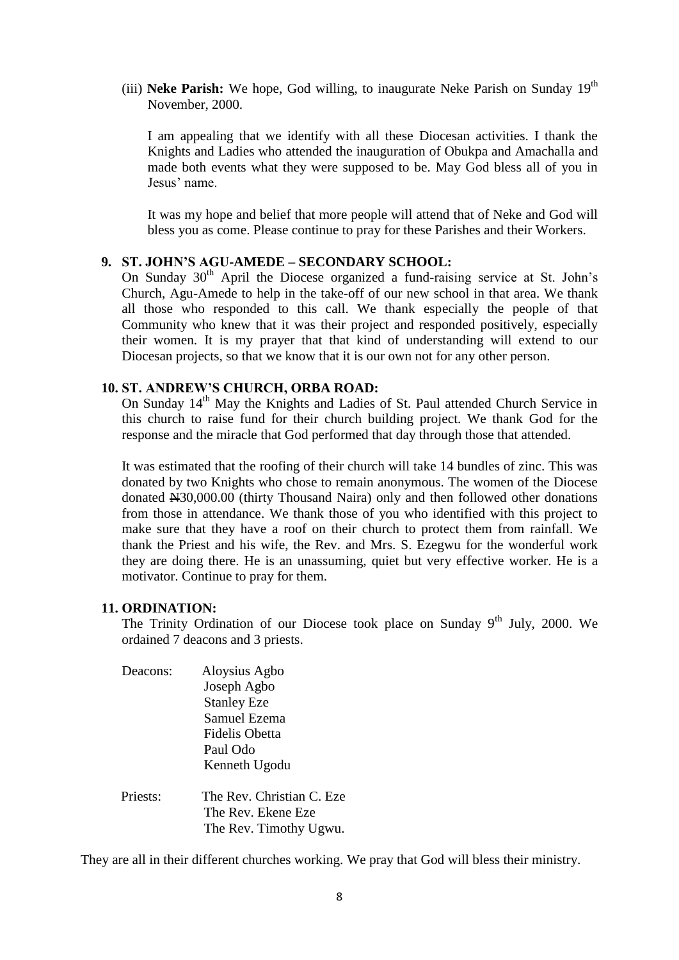(iii) **Neke Parish:** We hope, God willing, to inaugurate Neke Parish on Sunday  $19<sup>th</sup>$ November, 2000.

I am appealing that we identify with all these Diocesan activities. I thank the Knights and Ladies who attended the inauguration of Obukpa and Amachalla and made both events what they were supposed to be. May God bless all of you in Jesus" name.

It was my hope and belief that more people will attend that of Neke and God will bless you as come. Please continue to pray for these Parishes and their Workers.

# **9. ST. JOHN"S AGU-AMEDE – SECONDARY SCHOOL:**

On Sunday  $30<sup>th</sup>$  April the Diocese organized a fund-raising service at St. John's Church, Agu-Amede to help in the take-off of our new school in that area. We thank all those who responded to this call. We thank especially the people of that Community who knew that it was their project and responded positively, especially their women. It is my prayer that that kind of understanding will extend to our Diocesan projects, so that we know that it is our own not for any other person.

## **10. ST. ANDREW"S CHURCH, ORBA ROAD:**

On Sunday 14<sup>th</sup> May the Knights and Ladies of St. Paul attended Church Service in this church to raise fund for their church building project. We thank God for the response and the miracle that God performed that day through those that attended.

It was estimated that the roofing of their church will take 14 bundles of zinc. This was donated by two Knights who chose to remain anonymous. The women of the Diocese donated N30,000.00 (thirty Thousand Naira) only and then followed other donations from those in attendance. We thank those of you who identified with this project to make sure that they have a roof on their church to protect them from rainfall. We thank the Priest and his wife, the Rev. and Mrs. S. Ezegwu for the wonderful work they are doing there. He is an unassuming, quiet but very effective worker. He is a motivator. Continue to pray for them.

### **11. ORDINATION:**

The Trinity Ordination of our Diocese took place on Sunday  $9<sup>th</sup>$  July, 2000. We ordained 7 deacons and 3 priests.

- Deacons: Aloysius Agbo Joseph Agbo Stanley Eze Samuel Ezema Fidelis Obetta Paul Odo Kenneth Ugodu Priests: The Rev. Christian C. Eze
- The Rev. Ekene Eze The Rev. Timothy Ugwu.

They are all in their different churches working. We pray that God will bless their ministry.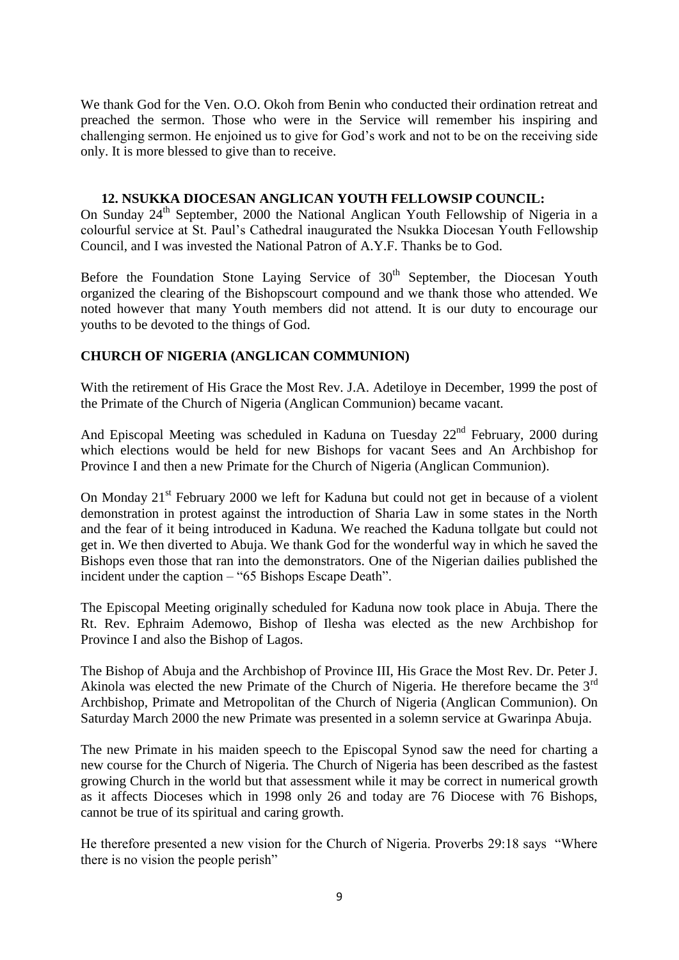We thank God for the Ven. O.O. Okoh from Benin who conducted their ordination retreat and preached the sermon. Those who were in the Service will remember his inspiring and challenging sermon. He enjoined us to give for God"s work and not to be on the receiving side only. It is more blessed to give than to receive.

### **12. NSUKKA DIOCESAN ANGLICAN YOUTH FELLOWSIP COUNCIL:**

On Sunday 24th September, 2000 the National Anglican Youth Fellowship of Nigeria in a colourful service at St. Paul"s Cathedral inaugurated the Nsukka Diocesan Youth Fellowship Council, and I was invested the National Patron of A.Y.F. Thanks be to God.

Before the Foundation Stone Laying Service of  $30<sup>th</sup>$  September, the Diocesan Youth organized the clearing of the Bishopscourt compound and we thank those who attended. We noted however that many Youth members did not attend. It is our duty to encourage our youths to be devoted to the things of God.

# **CHURCH OF NIGERIA (ANGLICAN COMMUNION)**

With the retirement of His Grace the Most Rev. J.A. Adetiloye in December, 1999 the post of the Primate of the Church of Nigeria (Anglican Communion) became vacant.

And Episcopal Meeting was scheduled in Kaduna on Tuesday  $22<sup>nd</sup>$  February, 2000 during which elections would be held for new Bishops for vacant Sees and An Archbishop for Province I and then a new Primate for the Church of Nigeria (Anglican Communion).

On Monday 21<sup>st</sup> February 2000 we left for Kaduna but could not get in because of a violent demonstration in protest against the introduction of Sharia Law in some states in the North and the fear of it being introduced in Kaduna. We reached the Kaduna tollgate but could not get in. We then diverted to Abuja. We thank God for the wonderful way in which he saved the Bishops even those that ran into the demonstrators. One of the Nigerian dailies published the incident under the caption – "65 Bishops Escape Death".

The Episcopal Meeting originally scheduled for Kaduna now took place in Abuja. There the Rt. Rev. Ephraim Ademowo, Bishop of Ilesha was elected as the new Archbishop for Province I and also the Bishop of Lagos.

The Bishop of Abuja and the Archbishop of Province III, His Grace the Most Rev. Dr. Peter J. Akinola was elected the new Primate of the Church of Nigeria. He therefore became the 3rd Archbishop, Primate and Metropolitan of the Church of Nigeria (Anglican Communion). On Saturday March 2000 the new Primate was presented in a solemn service at Gwarinpa Abuja.

The new Primate in his maiden speech to the Episcopal Synod saw the need for charting a new course for the Church of Nigeria. The Church of Nigeria has been described as the fastest growing Church in the world but that assessment while it may be correct in numerical growth as it affects Dioceses which in 1998 only 26 and today are 76 Diocese with 76 Bishops, cannot be true of its spiritual and caring growth.

He therefore presented a new vision for the Church of Nigeria. Proverbs 29:18 says "Where there is no vision the people perish"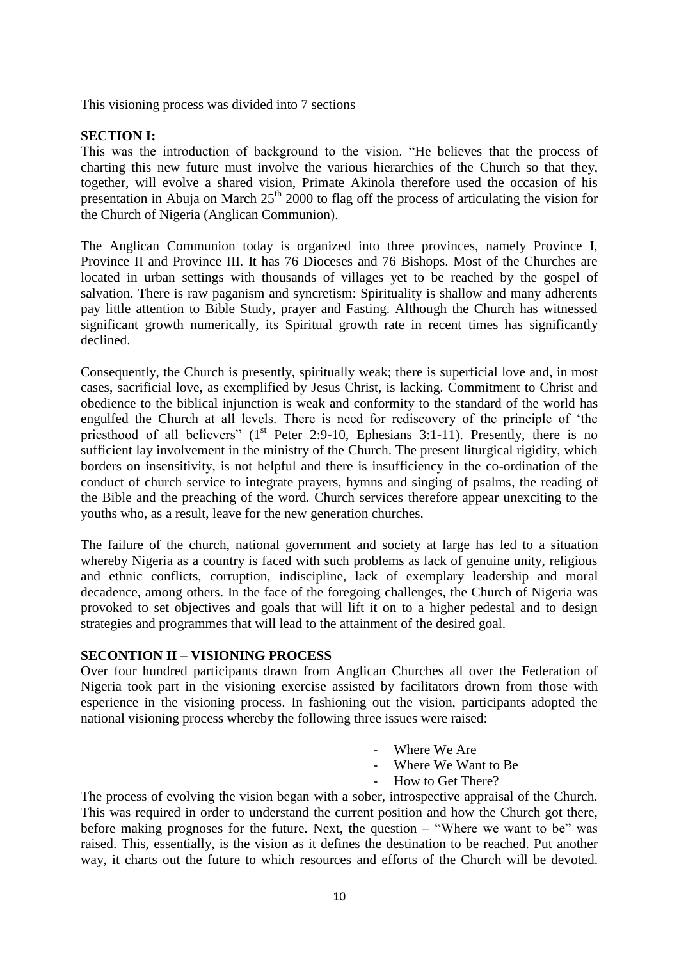This visioning process was divided into 7 sections

#### **SECTION I:**

This was the introduction of background to the vision. "He believes that the process of charting this new future must involve the various hierarchies of the Church so that they, together, will evolve a shared vision, Primate Akinola therefore used the occasion of his presentation in Abuja on March  $25<sup>th</sup>$  2000 to flag off the process of articulating the vision for the Church of Nigeria (Anglican Communion).

The Anglican Communion today is organized into three provinces, namely Province I, Province II and Province III. It has 76 Dioceses and 76 Bishops. Most of the Churches are located in urban settings with thousands of villages yet to be reached by the gospel of salvation. There is raw paganism and syncretism: Spirituality is shallow and many adherents pay little attention to Bible Study, prayer and Fasting. Although the Church has witnessed significant growth numerically, its Spiritual growth rate in recent times has significantly declined.

Consequently, the Church is presently, spiritually weak; there is superficial love and, in most cases, sacrificial love, as exemplified by Jesus Christ, is lacking. Commitment to Christ and obedience to the biblical injunction is weak and conformity to the standard of the world has engulfed the Church at all levels. There is need for rediscovery of the principle of "the priesthood of all believers" (1<sup>st</sup> Peter 2:9-10, Ephesians 3:1-11). Presently, there is no sufficient lay involvement in the ministry of the Church. The present liturgical rigidity, which borders on insensitivity, is not helpful and there is insufficiency in the co-ordination of the conduct of church service to integrate prayers, hymns and singing of psalms, the reading of the Bible and the preaching of the word. Church services therefore appear unexciting to the youths who, as a result, leave for the new generation churches.

The failure of the church, national government and society at large has led to a situation whereby Nigeria as a country is faced with such problems as lack of genuine unity, religious and ethnic conflicts, corruption, indiscipline, lack of exemplary leadership and moral decadence, among others. In the face of the foregoing challenges, the Church of Nigeria was provoked to set objectives and goals that will lift it on to a higher pedestal and to design strategies and programmes that will lead to the attainment of the desired goal.

#### **SECONTION II – VISIONING PROCESS**

Over four hundred participants drawn from Anglican Churches all over the Federation of Nigeria took part in the visioning exercise assisted by facilitators drown from those with esperience in the visioning process. In fashioning out the vision, participants adopted the national visioning process whereby the following three issues were raised:

- Where We Are
- Where We Want to Be
- How to Get There?

The process of evolving the vision began with a sober, introspective appraisal of the Church. This was required in order to understand the current position and how the Church got there, before making prognoses for the future. Next, the question – "Where we want to be" was raised. This, essentially, is the vision as it defines the destination to be reached. Put another way, it charts out the future to which resources and efforts of the Church will be devoted.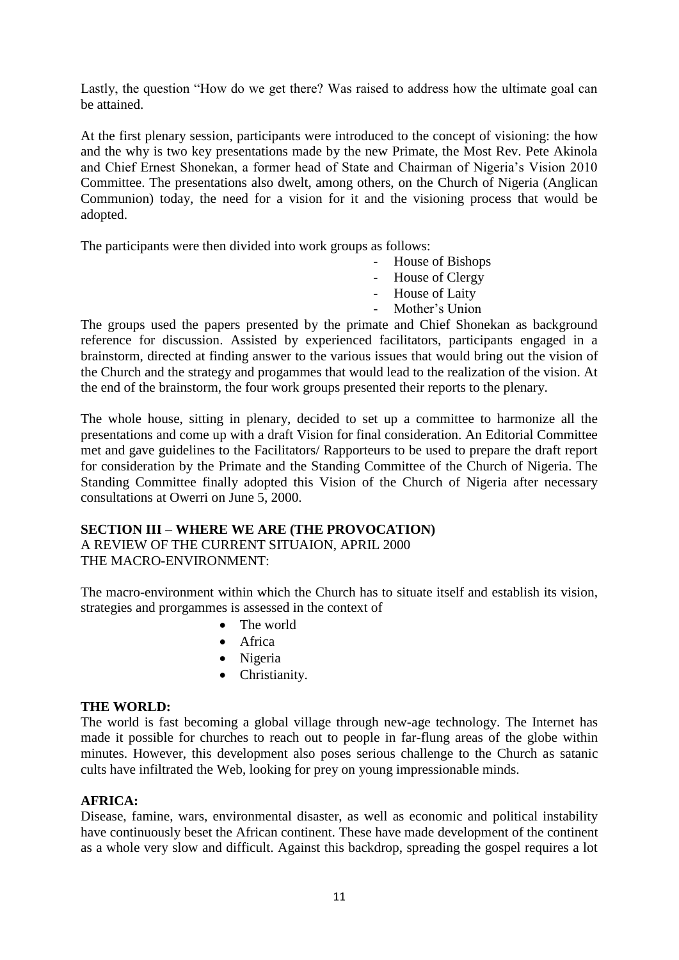Lastly, the question "How do we get there? Was raised to address how the ultimate goal can be attained.

At the first plenary session, participants were introduced to the concept of visioning: the how and the why is two key presentations made by the new Primate, the Most Rev. Pete Akinola and Chief Ernest Shonekan, a former head of State and Chairman of Nigeria"s Vision 2010 Committee. The presentations also dwelt, among others, on the Church of Nigeria (Anglican Communion) today, the need for a vision for it and the visioning process that would be adopted.

The participants were then divided into work groups as follows:

- House of Bishops
- House of Clergy
- House of Laity
- Mother's Union

The groups used the papers presented by the primate and Chief Shonekan as background reference for discussion. Assisted by experienced facilitators, participants engaged in a brainstorm, directed at finding answer to the various issues that would bring out the vision of the Church and the strategy and progammes that would lead to the realization of the vision. At the end of the brainstorm, the four work groups presented their reports to the plenary.

The whole house, sitting in plenary, decided to set up a committee to harmonize all the presentations and come up with a draft Vision for final consideration. An Editorial Committee met and gave guidelines to the Facilitators/ Rapporteurs to be used to prepare the draft report for consideration by the Primate and the Standing Committee of the Church of Nigeria. The Standing Committee finally adopted this Vision of the Church of Nigeria after necessary consultations at Owerri on June 5, 2000.

# **SECTION III – WHERE WE ARE (THE PROVOCATION)**

A REVIEW OF THE CURRENT SITUAION, APRIL 2000 THE MACRO-ENVIRONMENT:

The macro-environment within which the Church has to situate itself and establish its vision, strategies and prorgammes is assessed in the context of

- The world
- Africa
- Nigeria
- Christianity.

### **THE WORLD:**

The world is fast becoming a global village through new-age technology. The Internet has made it possible for churches to reach out to people in far-flung areas of the globe within minutes. However, this development also poses serious challenge to the Church as satanic cults have infiltrated the Web, looking for prey on young impressionable minds.

### **AFRICA:**

Disease, famine, wars, environmental disaster, as well as economic and political instability have continuously beset the African continent. These have made development of the continent as a whole very slow and difficult. Against this backdrop, spreading the gospel requires a lot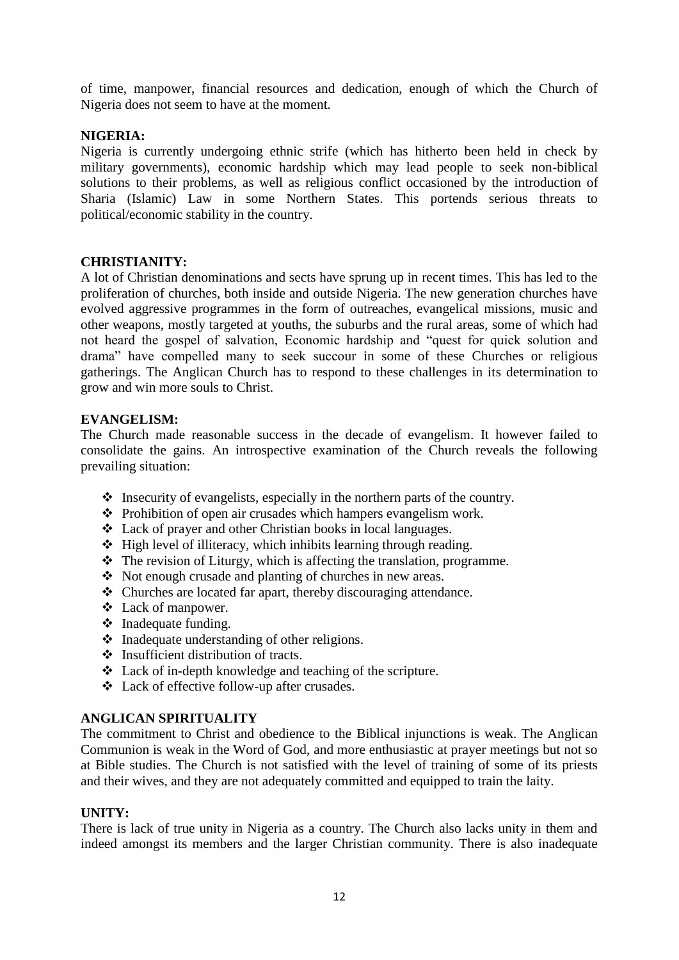of time, manpower, financial resources and dedication, enough of which the Church of Nigeria does not seem to have at the moment.

## **NIGERIA:**

Nigeria is currently undergoing ethnic strife (which has hitherto been held in check by military governments), economic hardship which may lead people to seek non-biblical solutions to their problems, as well as religious conflict occasioned by the introduction of Sharia (Islamic) Law in some Northern States. This portends serious threats to political/economic stability in the country.

## **CHRISTIANITY:**

A lot of Christian denominations and sects have sprung up in recent times. This has led to the proliferation of churches, both inside and outside Nigeria. The new generation churches have evolved aggressive programmes in the form of outreaches, evangelical missions, music and other weapons, mostly targeted at youths, the suburbs and the rural areas, some of which had not heard the gospel of salvation, Economic hardship and "quest for quick solution and drama" have compelled many to seek succour in some of these Churches or religious gatherings. The Anglican Church has to respond to these challenges in its determination to grow and win more souls to Christ.

## **EVANGELISM:**

The Church made reasonable success in the decade of evangelism. It however failed to consolidate the gains. An introspective examination of the Church reveals the following prevailing situation:

- $\triangle$  Insecurity of evangelists, especially in the northern parts of the country.
- $\triangle$  Prohibition of open air crusades which hampers evangelism work.
- Lack of prayer and other Christian books in local languages.
- $\triangle$  High level of illiteracy, which inhibits learning through reading.
- $\triangle$  The revision of Liturgy, which is affecting the translation, programme.
- Not enough crusade and planting of churches in new areas.
- Churches are located far apart, thereby discouraging attendance.
- Lack of manpower.
- $\div$  Inadequate funding.
- Inadequate understanding of other religions.
- $\triangleleft$  Insufficient distribution of tracts.
- Lack of in-depth knowledge and teaching of the scripture.
- Lack of effective follow-up after crusades.

### **ANGLICAN SPIRITUALITY**

The commitment to Christ and obedience to the Biblical injunctions is weak. The Anglican Communion is weak in the Word of God, and more enthusiastic at prayer meetings but not so at Bible studies. The Church is not satisfied with the level of training of some of its priests and their wives, and they are not adequately committed and equipped to train the laity.

### **UNITY:**

There is lack of true unity in Nigeria as a country. The Church also lacks unity in them and indeed amongst its members and the larger Christian community. There is also inadequate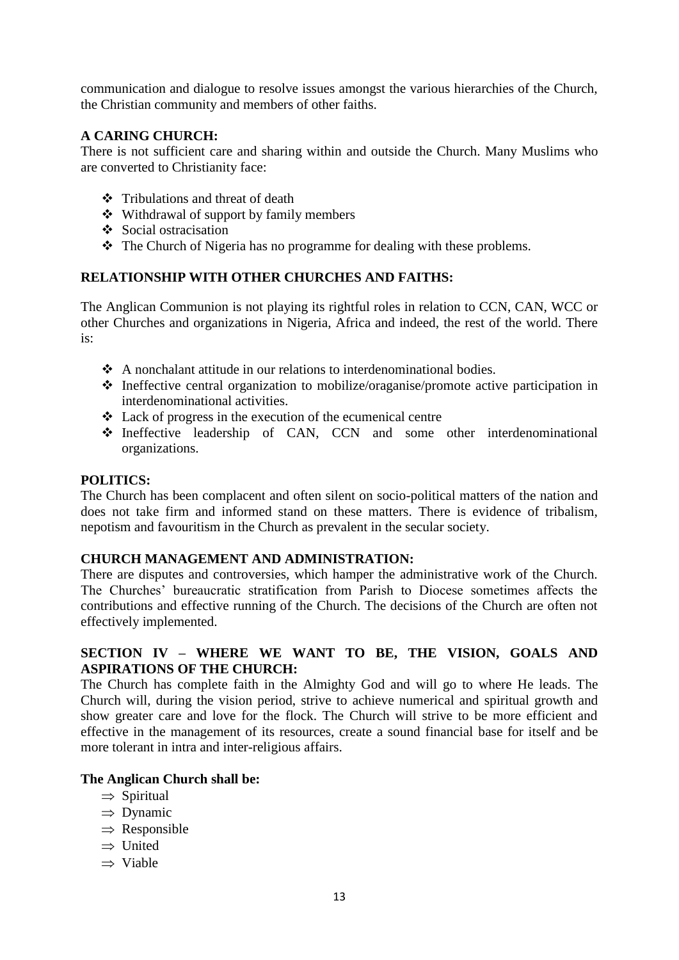communication and dialogue to resolve issues amongst the various hierarchies of the Church, the Christian community and members of other faiths.

# **A CARING CHURCH:**

There is not sufficient care and sharing within and outside the Church. Many Muslims who are converted to Christianity face:

- Tribulations and threat of death
- Withdrawal of support by family members
- ❖ Social ostracisation
- The Church of Nigeria has no programme for dealing with these problems.

# **RELATIONSHIP WITH OTHER CHURCHES AND FAITHS:**

The Anglican Communion is not playing its rightful roles in relation to CCN, CAN, WCC or other Churches and organizations in Nigeria, Africa and indeed, the rest of the world. There is:

- A nonchalant attitude in our relations to interdenominational bodies.
- $\triangle$  Ineffective central organization to mobilize/oraganise/promote active participation in interdenominational activities.
- $\triangle$  Lack of progress in the execution of the ecumenical centre
- Ineffective leadership of CAN, CCN and some other interdenominational organizations.

### **POLITICS:**

The Church has been complacent and often silent on socio-political matters of the nation and does not take firm and informed stand on these matters. There is evidence of tribalism, nepotism and favouritism in the Church as prevalent in the secular society.

# **CHURCH MANAGEMENT AND ADMINISTRATION:**

There are disputes and controversies, which hamper the administrative work of the Church. The Churches" bureaucratic stratification from Parish to Diocese sometimes affects the contributions and effective running of the Church. The decisions of the Church are often not effectively implemented.

# **SECTION IV – WHERE WE WANT TO BE, THE VISION, GOALS AND ASPIRATIONS OF THE CHURCH:**

The Church has complete faith in the Almighty God and will go to where He leads. The Church will, during the vision period, strive to achieve numerical and spiritual growth and show greater care and love for the flock. The Church will strive to be more efficient and effective in the management of its resources, create a sound financial base for itself and be more tolerant in intra and inter-religious affairs.

### **The Anglican Church shall be:**

- $\Rightarrow$  Spiritual
- $\Rightarrow$  Dynamic
- $\Rightarrow$  Responsible
- $\Rightarrow$  United
- $\rightarrow$  Viable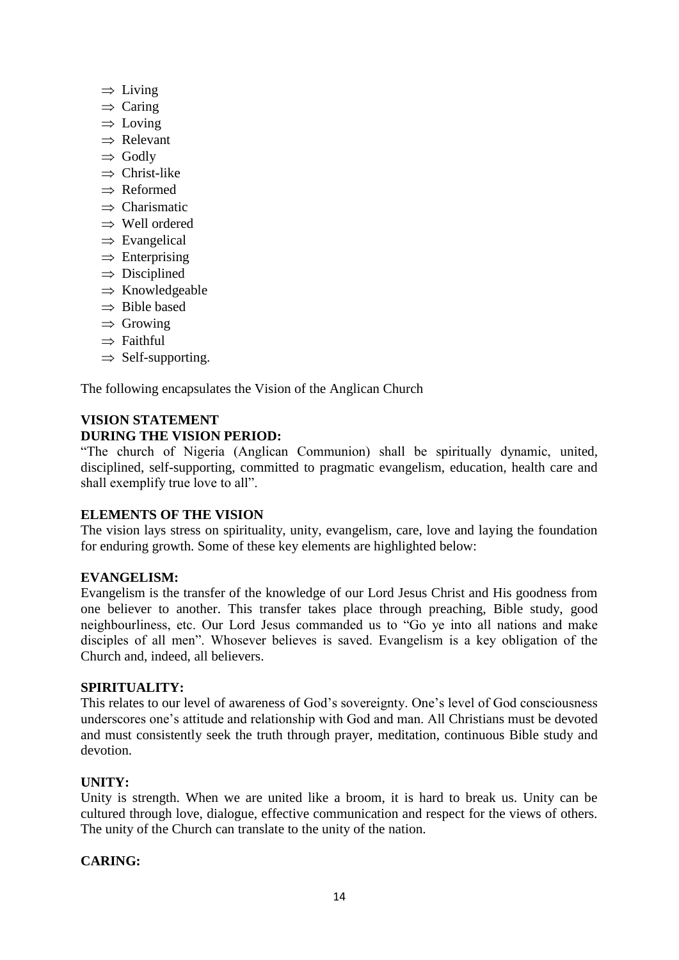- $\Rightarrow$  Living
- $\Rightarrow$  Caring
- $\Rightarrow$  Loving
- $\Rightarrow$  Relevant
- $\Rightarrow$  Godly
- $\Rightarrow$  Christ-like
- $\rightarrow$  Reformed
- $\Rightarrow$  Charismatic
- $\Rightarrow$  Well ordered
- $\Rightarrow$  Evangelical
- $\Rightarrow$  Enterprising
- $\Rightarrow$  Disciplined
- $\Rightarrow$  Knowledgeable
- $\Rightarrow$  Bible based
- $\Rightarrow$  Growing
- $\Rightarrow$  Faithful
- $\Rightarrow$  Self-supporting.

The following encapsulates the Vision of the Anglican Church

# **VISION STATEMENT DURING THE VISION PERIOD:**

"The church of Nigeria (Anglican Communion) shall be spiritually dynamic, united, disciplined, self-supporting, committed to pragmatic evangelism, education, health care and shall exemplify true love to all".

# **ELEMENTS OF THE VISION**

The vision lays stress on spirituality, unity, evangelism, care, love and laying the foundation for enduring growth. Some of these key elements are highlighted below:

# **EVANGELISM:**

Evangelism is the transfer of the knowledge of our Lord Jesus Christ and His goodness from one believer to another. This transfer takes place through preaching, Bible study, good neighbourliness, etc. Our Lord Jesus commanded us to "Go ye into all nations and make disciples of all men". Whosever believes is saved. Evangelism is a key obligation of the Church and, indeed, all believers.

# **SPIRITUALITY:**

This relates to our level of awareness of God"s sovereignty. One"s level of God consciousness underscores one"s attitude and relationship with God and man. All Christians must be devoted and must consistently seek the truth through prayer, meditation, continuous Bible study and devotion.

# **UNITY:**

Unity is strength. When we are united like a broom, it is hard to break us. Unity can be cultured through love, dialogue, effective communication and respect for the views of others. The unity of the Church can translate to the unity of the nation.

# **CARING:**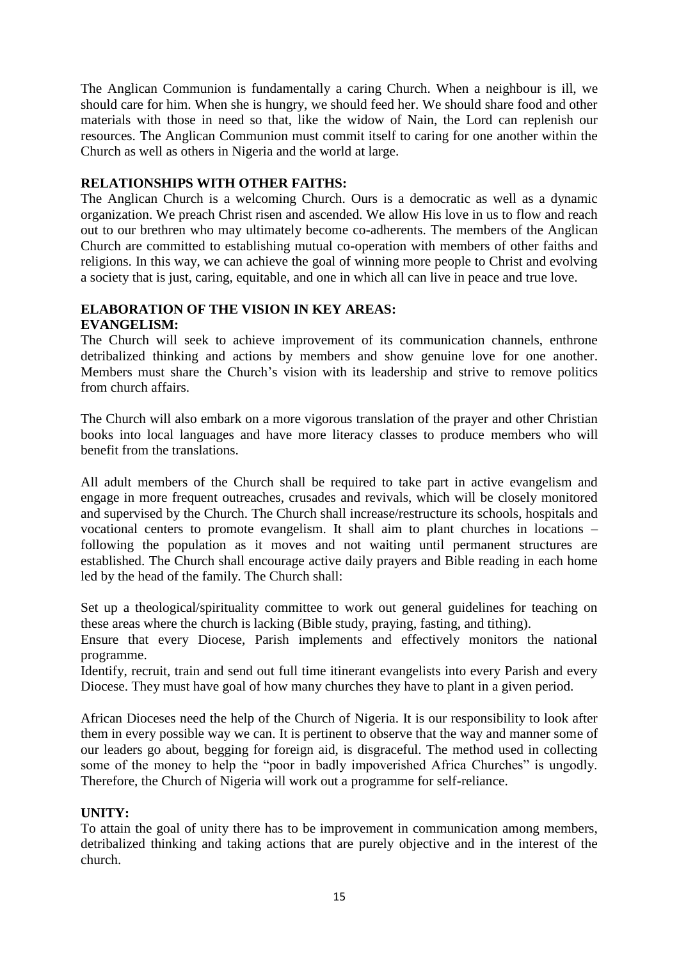The Anglican Communion is fundamentally a caring Church. When a neighbour is ill, we should care for him. When she is hungry, we should feed her. We should share food and other materials with those in need so that, like the widow of Nain, the Lord can replenish our resources. The Anglican Communion must commit itself to caring for one another within the Church as well as others in Nigeria and the world at large.

## **RELATIONSHIPS WITH OTHER FAITHS:**

The Anglican Church is a welcoming Church. Ours is a democratic as well as a dynamic organization. We preach Christ risen and ascended. We allow His love in us to flow and reach out to our brethren who may ultimately become co-adherents. The members of the Anglican Church are committed to establishing mutual co-operation with members of other faiths and religions. In this way, we can achieve the goal of winning more people to Christ and evolving a society that is just, caring, equitable, and one in which all can live in peace and true love.

### **ELABORATION OF THE VISION IN KEY AREAS: EVANGELISM:**

The Church will seek to achieve improvement of its communication channels, enthrone detribalized thinking and actions by members and show genuine love for one another. Members must share the Church"s vision with its leadership and strive to remove politics from church affairs.

The Church will also embark on a more vigorous translation of the prayer and other Christian books into local languages and have more literacy classes to produce members who will benefit from the translations.

All adult members of the Church shall be required to take part in active evangelism and engage in more frequent outreaches, crusades and revivals, which will be closely monitored and supervised by the Church. The Church shall increase/restructure its schools, hospitals and vocational centers to promote evangelism. It shall aim to plant churches in locations – following the population as it moves and not waiting until permanent structures are established. The Church shall encourage active daily prayers and Bible reading in each home led by the head of the family. The Church shall:

Set up a theological/spirituality committee to work out general guidelines for teaching on these areas where the church is lacking (Bible study, praying, fasting, and tithing).

Ensure that every Diocese, Parish implements and effectively monitors the national programme.

Identify, recruit, train and send out full time itinerant evangelists into every Parish and every Diocese. They must have goal of how many churches they have to plant in a given period.

African Dioceses need the help of the Church of Nigeria. It is our responsibility to look after them in every possible way we can. It is pertinent to observe that the way and manner some of our leaders go about, begging for foreign aid, is disgraceful. The method used in collecting some of the money to help the "poor in badly impoverished Africa Churches" is ungodly. Therefore, the Church of Nigeria will work out a programme for self-reliance.

# **UNITY:**

To attain the goal of unity there has to be improvement in communication among members, detribalized thinking and taking actions that are purely objective and in the interest of the church.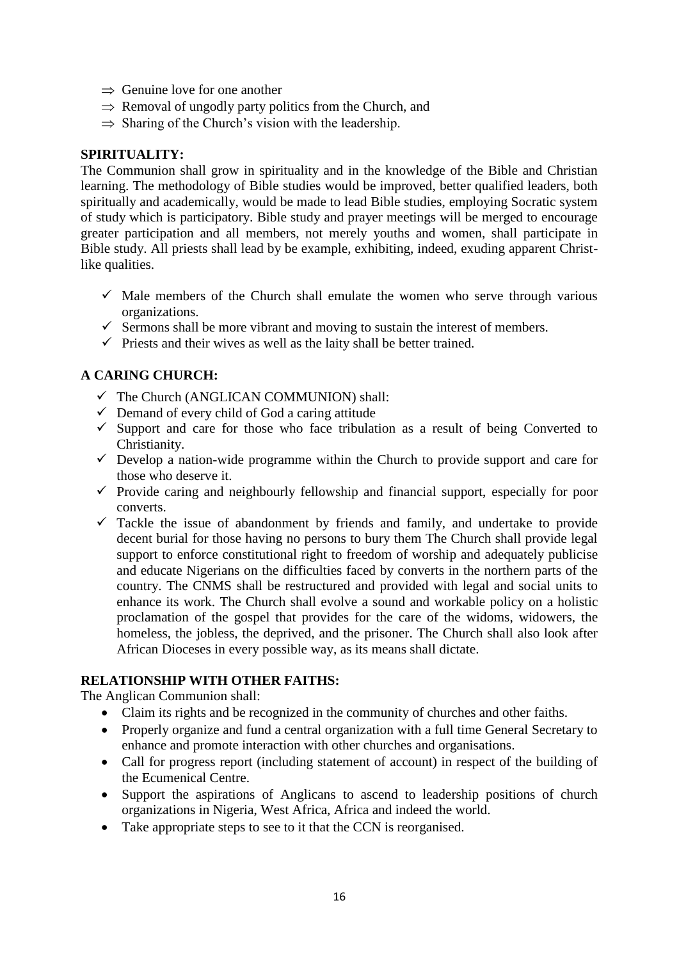- $\Rightarrow$  Genuine love for one another
- $\Rightarrow$  Removal of ungodly party politics from the Church, and
- $\Rightarrow$  Sharing of the Church's vision with the leadership.

## **SPIRITUALITY:**

The Communion shall grow in spirituality and in the knowledge of the Bible and Christian learning. The methodology of Bible studies would be improved, better qualified leaders, both spiritually and academically, would be made to lead Bible studies, employing Socratic system of study which is participatory. Bible study and prayer meetings will be merged to encourage greater participation and all members, not merely youths and women, shall participate in Bible study. All priests shall lead by be example, exhibiting, indeed, exuding apparent Christlike qualities.

- $\checkmark$  Male members of the Church shall emulate the women who serve through various organizations.
- $\checkmark$  Sermons shall be more vibrant and moving to sustain the interest of members.
- $\checkmark$  Priests and their wives as well as the laity shall be better trained.

# **A CARING CHURCH:**

- The Church (ANGLICAN COMMUNION) shall:
- $\checkmark$  Demand of every child of God a caring attitude
- $\checkmark$  Support and care for those who face tribulation as a result of being Converted to Christianity.
- $\checkmark$  Develop a nation-wide programme within the Church to provide support and care for those who deserve it.
- $\checkmark$  Provide caring and neighbourly fellowship and financial support, especially for poor converts.
- $\checkmark$  Tackle the issue of abandonment by friends and family, and undertake to provide decent burial for those having no persons to bury them The Church shall provide legal support to enforce constitutional right to freedom of worship and adequately publicise and educate Nigerians on the difficulties faced by converts in the northern parts of the country. The CNMS shall be restructured and provided with legal and social units to enhance its work. The Church shall evolve a sound and workable policy on a holistic proclamation of the gospel that provides for the care of the widoms, widowers, the homeless, the jobless, the deprived, and the prisoner. The Church shall also look after African Dioceses in every possible way, as its means shall dictate.

# **RELATIONSHIP WITH OTHER FAITHS:**

The Anglican Communion shall:

- Claim its rights and be recognized in the community of churches and other faiths.
- Properly organize and fund a central organization with a full time General Secretary to enhance and promote interaction with other churches and organisations.
- Call for progress report (including statement of account) in respect of the building of the Ecumenical Centre.
- Support the aspirations of Anglicans to ascend to leadership positions of church organizations in Nigeria, West Africa, Africa and indeed the world.
- Take appropriate steps to see to it that the CCN is reorganised.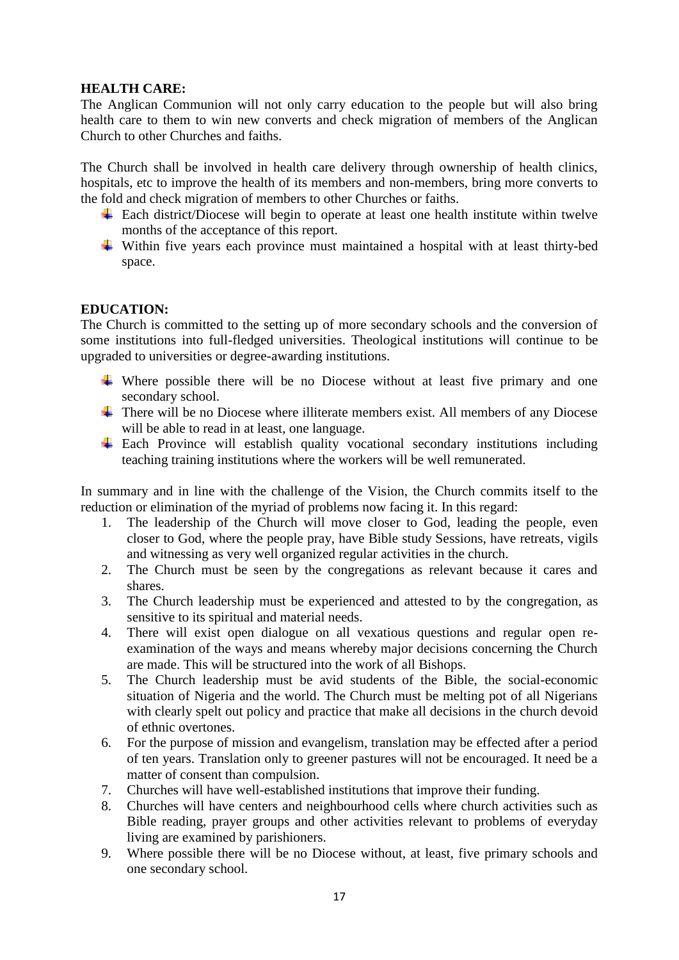## **HEALTH CARE:**

The Anglican Communion will not only carry education to the people but will also bring health care to them to win new converts and check migration of members of the Anglican Church to other Churches and faiths.

The Church shall be involved in health care delivery through ownership of health clinics, hospitals, etc to improve the health of its members and non-members, bring more converts to the fold and check migration of members to other Churches or faiths.

- $\overline{\text{#}}$  Each district/Diocese will begin to operate at least one health institute within twelve months of the acceptance of this report.
- $\overline{\text{ }+ \text{ } }$  Within five years each province must maintained a hospital with at least thirty-bed space.

## **EDUCATION:**

The Church is committed to the setting up of more secondary schools and the conversion of some institutions into full-fledged universities. Theological institutions will continue to be upgraded to universities or degree-awarding institutions.

- $\overline{\text{L}}$  Where possible there will be no Diocese without at least five primary and one secondary school.
- $\overline{\phantom{a}}$  There will be no Diocese where illiterate members exist. All members of any Diocese will be able to read in at least, one language.
- $\overline{\phantom{a}}$  Each Province will establish quality vocational secondary institutions including teaching training institutions where the workers will be well remunerated.

In summary and in line with the challenge of the Vision, the Church commits itself to the reduction or elimination of the myriad of problems now facing it. In this regard:

- 1. The leadership of the Church will move closer to God, leading the people, even closer to God, where the people pray, have Bible study Sessions, have retreats, vigils and witnessing as very well organized regular activities in the church.
- 2. The Church must be seen by the congregations as relevant because it cares and shares.
- 3. The Church leadership must be experienced and attested to by the congregation, as sensitive to its spiritual and material needs.
- 4. There will exist open dialogue on all vexatious questions and regular open reexamination of the ways and means whereby major decisions concerning the Church are made. This will be structured into the work of all Bishops.
- 5. The Church leadership must be avid students of the Bible, the social-economic situation of Nigeria and the world. The Church must be melting pot of all Nigerians with clearly spelt out policy and practice that make all decisions in the church devoid of ethnic overtones.
- 6. For the purpose of mission and evangelism, translation may be effected after a period of ten years. Translation only to greener pastures will not be encouraged. It need be a matter of consent than compulsion.
- 7. Churches will have well-established institutions that improve their funding.
- 8. Churches will have centers and neighbourhood cells where church activities such as Bible reading, prayer groups and other activities relevant to problems of everyday living are examined by parishioners.
- 9. Where possible there will be no Diocese without, at least, five primary schools and one secondary school.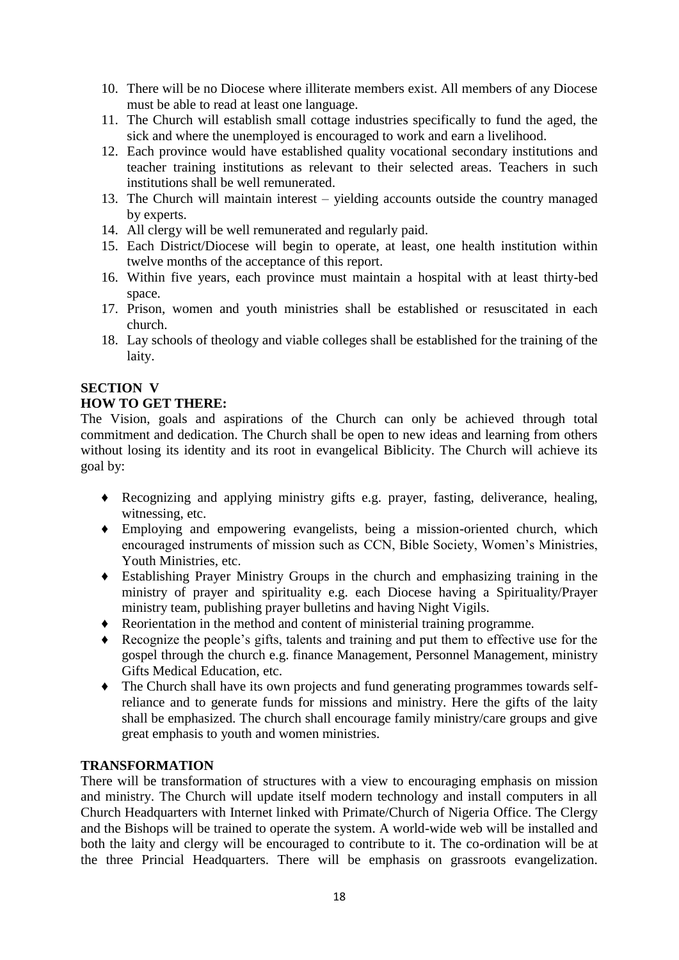- 10. There will be no Diocese where illiterate members exist. All members of any Diocese must be able to read at least one language.
- 11. The Church will establish small cottage industries specifically to fund the aged, the sick and where the unemployed is encouraged to work and earn a livelihood.
- 12. Each province would have established quality vocational secondary institutions and teacher training institutions as relevant to their selected areas. Teachers in such institutions shall be well remunerated.
- 13. The Church will maintain interest yielding accounts outside the country managed by experts.
- 14. All clergy will be well remunerated and regularly paid.
- 15. Each District/Diocese will begin to operate, at least, one health institution within twelve months of the acceptance of this report.
- 16. Within five years, each province must maintain a hospital with at least thirty-bed space.
- 17. Prison, women and youth ministries shall be established or resuscitated in each church.
- 18. Lay schools of theology and viable colleges shall be established for the training of the laity.

## **SECTION V**

## **HOW TO GET THERE:**

The Vision, goals and aspirations of the Church can only be achieved through total commitment and dedication. The Church shall be open to new ideas and learning from others without losing its identity and its root in evangelical Biblicity. The Church will achieve its goal by:

- *♦* Recognizing and applying ministry gifts e.g. prayer, fasting, deliverance, healing, witnessing, etc.
- *♦* Employing and empowering evangelists, being a mission-oriented church, which encouraged instruments of mission such as CCN, Bible Society, Women"s Ministries, Youth Ministries, etc.
- *♦* Establishing Prayer Ministry Groups in the church and emphasizing training in the ministry of prayer and spirituality e.g. each Diocese having a Spirituality/Prayer ministry team, publishing prayer bulletins and having Night Vigils.
- *♦* Reorientation in the method and content of ministerial training programme.
- *♦* Recognize the people"s gifts, talents and training and put them to effective use for the gospel through the church e.g. finance Management, Personnel Management, ministry Gifts Medical Education, etc.
- *♦* The Church shall have its own projects and fund generating programmes towards selfreliance and to generate funds for missions and ministry. Here the gifts of the laity shall be emphasized. The church shall encourage family ministry/care groups and give great emphasis to youth and women ministries.

### **TRANSFORMATION**

There will be transformation of structures with a view to encouraging emphasis on mission and ministry. The Church will update itself modern technology and install computers in all Church Headquarters with Internet linked with Primate/Church of Nigeria Office. The Clergy and the Bishops will be trained to operate the system. A world-wide web will be installed and both the laity and clergy will be encouraged to contribute to it. The co-ordination will be at the three Princial Headquarters. There will be emphasis on grassroots evangelization.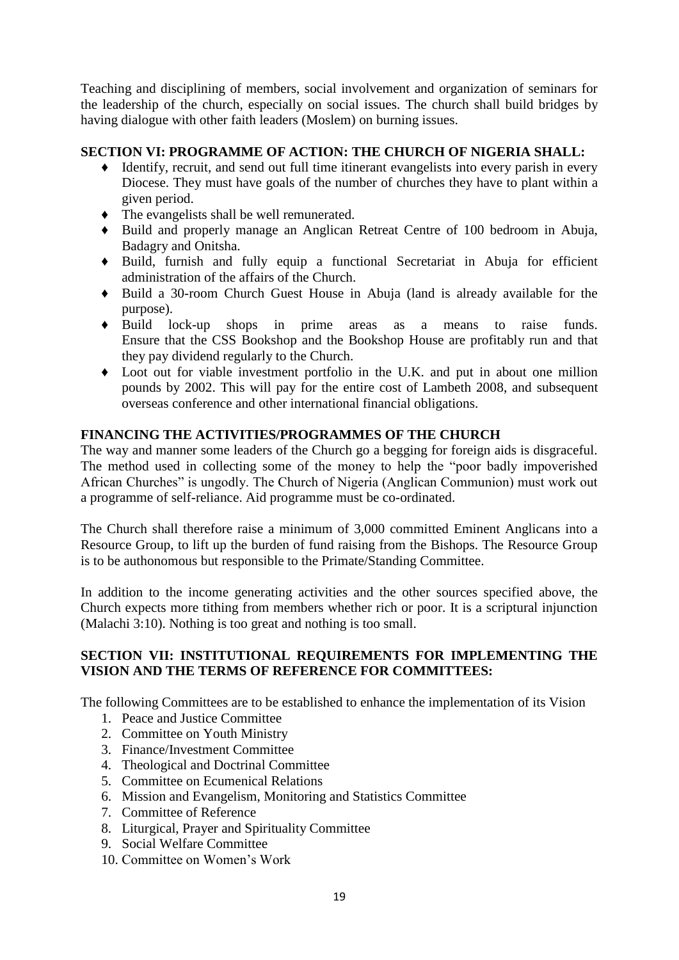Teaching and disciplining of members, social involvement and organization of seminars for the leadership of the church, especially on social issues. The church shall build bridges by having dialogue with other faith leaders (Moslem) on burning issues.

# **SECTION VI: PROGRAMME OF ACTION: THE CHURCH OF NIGERIA SHALL:**

- *♦* Identify, recruit, and send out full time itinerant evangelists into every parish in every Diocese. They must have goals of the number of churches they have to plant within a given period.
- *♦* The evangelists shall be well remunerated.
- *♦* Build and properly manage an Anglican Retreat Centre of 100 bedroom in Abuja, Badagry and Onitsha.
- *♦* Build, furnish and fully equip a functional Secretariat in Abuja for efficient administration of the affairs of the Church.
- *♦* Build a 30-room Church Guest House in Abuja (land is already available for the purpose).
- *♦* Build lock-up shops in prime areas as a means to raise funds. Ensure that the CSS Bookshop and the Bookshop House are profitably run and that they pay dividend regularly to the Church.
- *♦* Loot out for viable investment portfolio in the U.K. and put in about one million pounds by 2002. This will pay for the entire cost of Lambeth 2008, and subsequent overseas conference and other international financial obligations.

# **FINANCING THE ACTIVITIES/PROGRAMMES OF THE CHURCH**

The way and manner some leaders of the Church go a begging for foreign aids is disgraceful. The method used in collecting some of the money to help the "poor badly impoverished African Churches" is ungodly. The Church of Nigeria (Anglican Communion) must work out a programme of self-reliance. Aid programme must be co-ordinated.

The Church shall therefore raise a minimum of 3,000 committed Eminent Anglicans into a Resource Group, to lift up the burden of fund raising from the Bishops. The Resource Group is to be authonomous but responsible to the Primate/Standing Committee.

In addition to the income generating activities and the other sources specified above, the Church expects more tithing from members whether rich or poor. It is a scriptural injunction (Malachi 3:10). Nothing is too great and nothing is too small.

# **SECTION VII: INSTITUTIONAL REQUIREMENTS FOR IMPLEMENTING THE VISION AND THE TERMS OF REFERENCE FOR COMMITTEES:**

The following Committees are to be established to enhance the implementation of its Vision

- 1. Peace and Justice Committee
- 2. Committee on Youth Ministry
- 3. Finance/Investment Committee
- 4. Theological and Doctrinal Committee
- 5. Committee on Ecumenical Relations
- 6. Mission and Evangelism, Monitoring and Statistics Committee
- 7. Committee of Reference
- 8. Liturgical, Prayer and Spirituality Committee
- 9. Social Welfare Committee
- 10. Committee on Women"s Work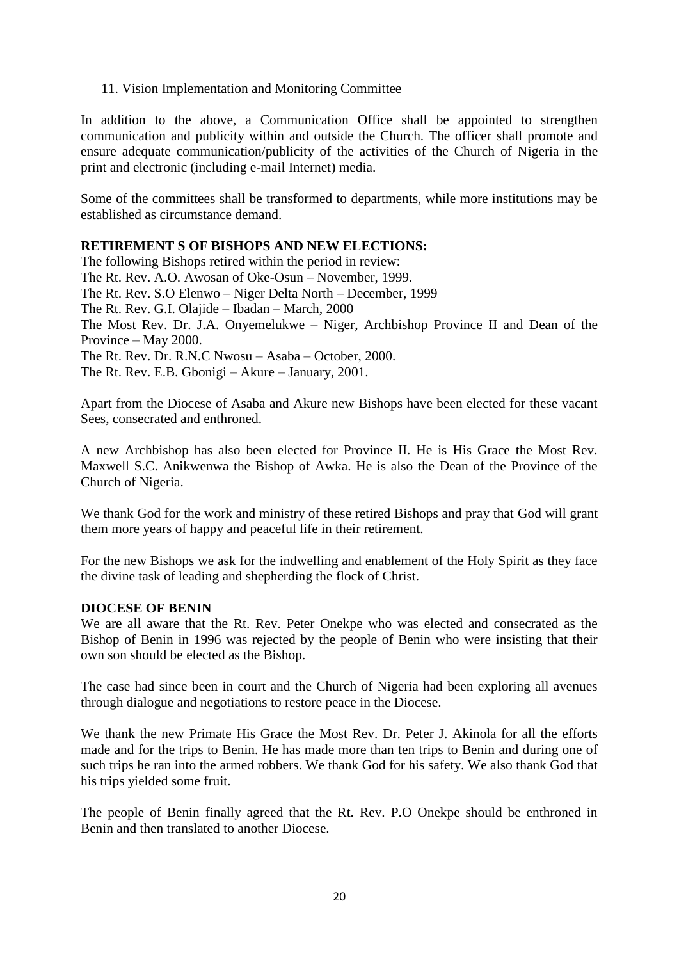## 11. Vision Implementation and Monitoring Committee

In addition to the above, a Communication Office shall be appointed to strengthen communication and publicity within and outside the Church. The officer shall promote and ensure adequate communication/publicity of the activities of the Church of Nigeria in the print and electronic (including e-mail Internet) media.

Some of the committees shall be transformed to departments, while more institutions may be established as circumstance demand.

## **RETIREMENT S OF BISHOPS AND NEW ELECTIONS:**

The following Bishops retired within the period in review: The Rt. Rev. A.O. Awosan of Oke-Osun – November, 1999. The Rt. Rev. S.O Elenwo – Niger Delta North – December, 1999 The Rt. Rev. G.I. Olajide – Ibadan – March, 2000 The Most Rev. Dr. J.A. Onyemelukwe – Niger, Archbishop Province II and Dean of the Province – May 2000. The Rt. Rev. Dr. R.N.C Nwosu – Asaba – October, 2000. The Rt. Rev. E.B. Gbonigi – Akure – January, 2001.

Apart from the Diocese of Asaba and Akure new Bishops have been elected for these vacant Sees, consecrated and enthroned.

A new Archbishop has also been elected for Province II. He is His Grace the Most Rev. Maxwell S.C. Anikwenwa the Bishop of Awka. He is also the Dean of the Province of the Church of Nigeria.

We thank God for the work and ministry of these retired Bishops and pray that God will grant them more years of happy and peaceful life in their retirement.

For the new Bishops we ask for the indwelling and enablement of the Holy Spirit as they face the divine task of leading and shepherding the flock of Christ.

### **DIOCESE OF BENIN**

We are all aware that the Rt. Rev. Peter Onekpe who was elected and consecrated as the Bishop of Benin in 1996 was rejected by the people of Benin who were insisting that their own son should be elected as the Bishop.

The case had since been in court and the Church of Nigeria had been exploring all avenues through dialogue and negotiations to restore peace in the Diocese.

We thank the new Primate His Grace the Most Rev. Dr. Peter J. Akinola for all the efforts made and for the trips to Benin. He has made more than ten trips to Benin and during one of such trips he ran into the armed robbers. We thank God for his safety. We also thank God that his trips yielded some fruit.

The people of Benin finally agreed that the Rt. Rev. P.O Onekpe should be enthroned in Benin and then translated to another Diocese.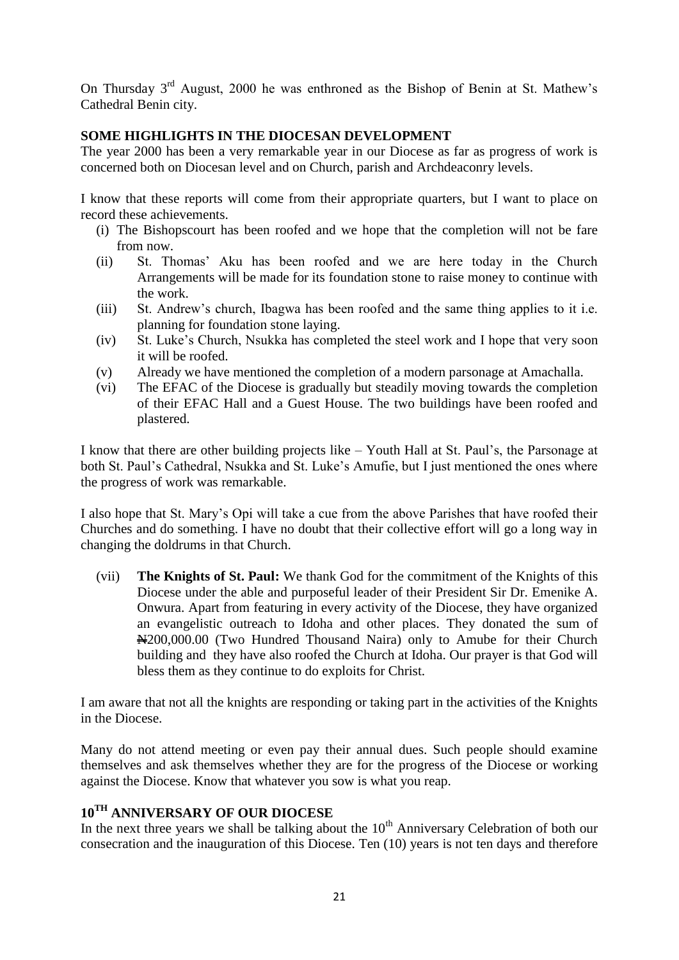On Thursday  $3<sup>rd</sup>$  August, 2000 he was enthroned as the Bishop of Benin at St. Mathew's Cathedral Benin city.

# **SOME HIGHLIGHTS IN THE DIOCESAN DEVELOPMENT**

The year 2000 has been a very remarkable year in our Diocese as far as progress of work is concerned both on Diocesan level and on Church, parish and Archdeaconry levels.

I know that these reports will come from their appropriate quarters, but I want to place on record these achievements.

- (i) The Bishopscourt has been roofed and we hope that the completion will not be fare from now.
- (ii) St. Thomas" Aku has been roofed and we are here today in the Church Arrangements will be made for its foundation stone to raise money to continue with the work.
- (iii) St. Andrew"s church, Ibagwa has been roofed and the same thing applies to it i.e. planning for foundation stone laying.
- (iv) St. Luke"s Church, Nsukka has completed the steel work and I hope that very soon it will be roofed.
- (v) Already we have mentioned the completion of a modern parsonage at Amachalla.
- (vi) The EFAC of the Diocese is gradually but steadily moving towards the completion of their EFAC Hall and a Guest House. The two buildings have been roofed and plastered.

I know that there are other building projects like – Youth Hall at St. Paul"s, the Parsonage at both St. Paul"s Cathedral, Nsukka and St. Luke"s Amufie, but I just mentioned the ones where the progress of work was remarkable.

I also hope that St. Mary"s Opi will take a cue from the above Parishes that have roofed their Churches and do something. I have no doubt that their collective effort will go a long way in changing the doldrums in that Church.

(vii) **The Knights of St. Paul:** We thank God for the commitment of the Knights of this Diocese under the able and purposeful leader of their President Sir Dr. Emenike A. Onwura. Apart from featuring in every activity of the Diocese, they have organized an evangelistic outreach to Idoha and other places. They donated the sum of N200,000.00 (Two Hundred Thousand Naira) only to Amube for their Church building and they have also roofed the Church at Idoha. Our prayer is that God will bless them as they continue to do exploits for Christ.

I am aware that not all the knights are responding or taking part in the activities of the Knights in the Diocese.

Many do not attend meeting or even pay their annual dues. Such people should examine themselves and ask themselves whether they are for the progress of the Diocese or working against the Diocese. Know that whatever you sow is what you reap.

# **10TH ANNIVERSARY OF OUR DIOCESE**

In the next three years we shall be talking about the  $10<sup>th</sup>$  Anniversary Celebration of both our consecration and the inauguration of this Diocese. Ten (10) years is not ten days and therefore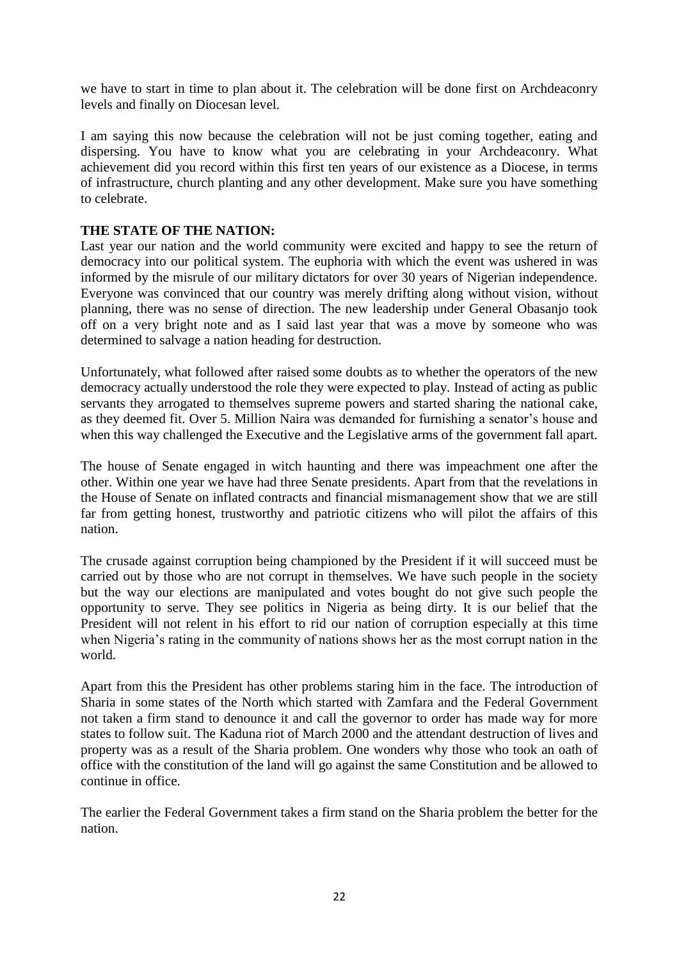we have to start in time to plan about it. The celebration will be done first on Archdeaconry levels and finally on Diocesan level.

I am saying this now because the celebration will not be just coming together, eating and dispersing. You have to know what you are celebrating in your Archdeaconry. What achievement did you record within this first ten years of our existence as a Diocese, in terms of infrastructure, church planting and any other development. Make sure you have something to celebrate.

## **THE STATE OF THE NATION:**

Last year our nation and the world community were excited and happy to see the return of democracy into our political system. The euphoria with which the event was ushered in was informed by the misrule of our military dictators for over 30 years of Nigerian independence. Everyone was convinced that our country was merely drifting along without vision, without planning, there was no sense of direction. The new leadership under General Obasanjo took off on a very bright note and as I said last year that was a move by someone who was determined to salvage a nation heading for destruction.

Unfortunately, what followed after raised some doubts as to whether the operators of the new democracy actually understood the role they were expected to play. Instead of acting as public servants they arrogated to themselves supreme powers and started sharing the national cake, as they deemed fit. Over 5. Million Naira was demanded for furnishing a senator"s house and when this way challenged the Executive and the Legislative arms of the government fall apart.

The house of Senate engaged in witch haunting and there was impeachment one after the other. Within one year we have had three Senate presidents. Apart from that the revelations in the House of Senate on inflated contracts and financial mismanagement show that we are still far from getting honest, trustworthy and patriotic citizens who will pilot the affairs of this nation.

The crusade against corruption being championed by the President if it will succeed must be carried out by those who are not corrupt in themselves. We have such people in the society but the way our elections are manipulated and votes bought do not give such people the opportunity to serve. They see politics in Nigeria as being dirty. It is our belief that the President will not relent in his effort to rid our nation of corruption especially at this time when Nigeria's rating in the community of nations shows her as the most corrupt nation in the world.

Apart from this the President has other problems staring him in the face. The introduction of Sharia in some states of the North which started with Zamfara and the Federal Government not taken a firm stand to denounce it and call the governor to order has made way for more states to follow suit. The Kaduna riot of March 2000 and the attendant destruction of lives and property was as a result of the Sharia problem. One wonders why those who took an oath of office with the constitution of the land will go against the same Constitution and be allowed to continue in office.

The earlier the Federal Government takes a firm stand on the Sharia problem the better for the nation.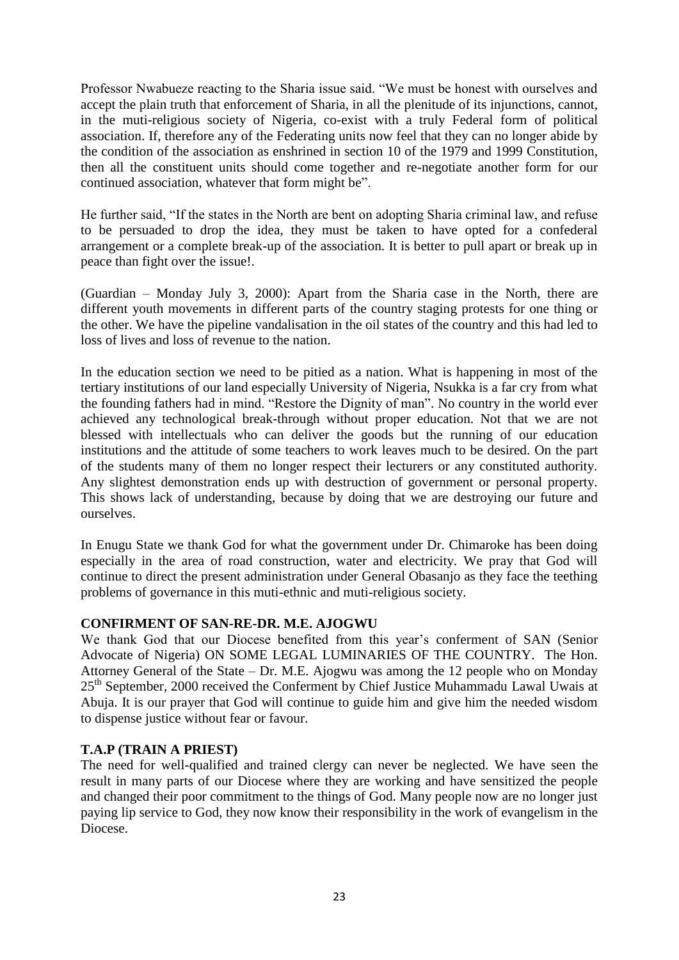Professor Nwabueze reacting to the Sharia issue said. "We must be honest with ourselves and accept the plain truth that enforcement of Sharia, in all the plenitude of its injunctions, cannot, in the muti-religious society of Nigeria, co-exist with a truly Federal form of political association. If, therefore any of the Federating units now feel that they can no longer abide by the condition of the association as enshrined in section 10 of the 1979 and 1999 Constitution, then all the constituent units should come together and re-negotiate another form for our continued association, whatever that form might be".

He further said, "If the states in the North are bent on adopting Sharia criminal law, and refuse to be persuaded to drop the idea, they must be taken to have opted for a confederal arrangement or a complete break-up of the association. It is better to pull apart or break up in peace than fight over the issue!.

(Guardian – Monday July 3, 2000): Apart from the Sharia case in the North, there are different youth movements in different parts of the country staging protests for one thing or the other. We have the pipeline vandalisation in the oil states of the country and this had led to loss of lives and loss of revenue to the nation.

In the education section we need to be pitied as a nation. What is happening in most of the tertiary institutions of our land especially University of Nigeria, Nsukka is a far cry from what the founding fathers had in mind. "Restore the Dignity of man". No country in the world ever achieved any technological break-through without proper education. Not that we are not blessed with intellectuals who can deliver the goods but the running of our education institutions and the attitude of some teachers to work leaves much to be desired. On the part of the students many of them no longer respect their lecturers or any constituted authority. Any slightest demonstration ends up with destruction of government or personal property. This shows lack of understanding, because by doing that we are destroying our future and ourselves.

In Enugu State we thank God for what the government under Dr. Chimaroke has been doing especially in the area of road construction, water and electricity. We pray that God will continue to direct the present administration under General Obasanjo as they face the teething problems of governance in this muti-ethnic and muti-religious society.

# **CONFIRMENT OF SAN-RE-DR. M.E. AJOGWU**

We thank God that our Diocese benefited from this year's conferment of SAN (Senior Advocate of Nigeria) ON SOME LEGAL LUMINARIES OF THE COUNTRY. The Hon. Attorney General of the State – Dr. M.E. Ajogwu was among the 12 people who on Monday 25<sup>th</sup> September, 2000 received the Conferment by Chief Justice Muhammadu Lawal Uwais at Abuja. It is our prayer that God will continue to guide him and give him the needed wisdom to dispense justice without fear or favour.

### **T.A.P (TRAIN A PRIEST)**

The need for well-qualified and trained clergy can never be neglected. We have seen the result in many parts of our Diocese where they are working and have sensitized the people and changed their poor commitment to the things of God. Many people now are no longer just paying lip service to God, they now know their responsibility in the work of evangelism in the Diocese.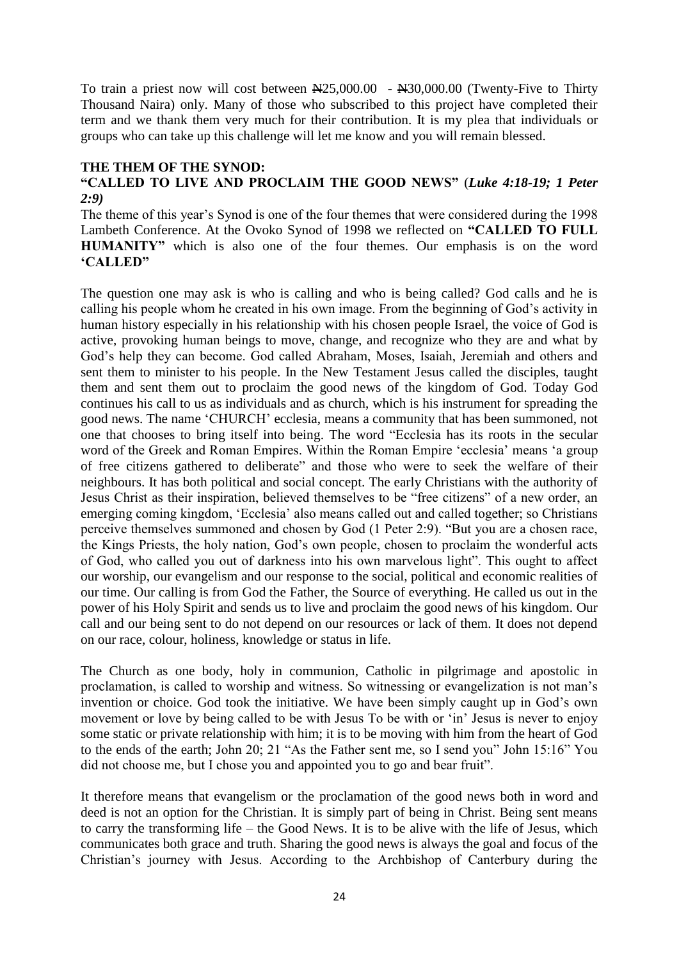To train a priest now will cost between  $\mathbb{N}25,000.00$  -  $\mathbb{N}30,000.00$  (Twenty-Five to Thirty Thousand Naira) only. Many of those who subscribed to this project have completed their term and we thank them very much for their contribution. It is my plea that individuals or groups who can take up this challenge will let me know and you will remain blessed.

#### **THE THEM OF THE SYNOD:**

## **"CALLED TO LIVE AND PROCLAIM THE GOOD NEWS"** (*Luke 4:18-19; 1 Peter 2:9)*

The theme of this year's Synod is one of the four themes that were considered during the 1998 Lambeth Conference. At the Ovoko Synod of 1998 we reflected on **"CALLED TO FULL HUMANITY"** which is also one of the four themes. Our emphasis is on the word **"CALLED"**

The question one may ask is who is calling and who is being called? God calls and he is calling his people whom he created in his own image. From the beginning of God"s activity in human history especially in his relationship with his chosen people Israel, the voice of God is active, provoking human beings to move, change, and recognize who they are and what by God"s help they can become. God called Abraham, Moses, Isaiah, Jeremiah and others and sent them to minister to his people. In the New Testament Jesus called the disciples, taught them and sent them out to proclaim the good news of the kingdom of God. Today God continues his call to us as individuals and as church, which is his instrument for spreading the good news. The name "CHURCH" ecclesia, means a community that has been summoned, not one that chooses to bring itself into being. The word "Ecclesia has its roots in the secular word of the Greek and Roman Empires. Within the Roman Empire 'ecclesia' means 'a group of free citizens gathered to deliberate" and those who were to seek the welfare of their neighbours. It has both political and social concept. The early Christians with the authority of Jesus Christ as their inspiration, believed themselves to be "free citizens" of a new order, an emerging coming kingdom, "Ecclesia" also means called out and called together; so Christians perceive themselves summoned and chosen by God (1 Peter 2:9). "But you are a chosen race, the Kings Priests, the holy nation, God"s own people, chosen to proclaim the wonderful acts of God, who called you out of darkness into his own marvelous light". This ought to affect our worship, our evangelism and our response to the social, political and economic realities of our time. Our calling is from God the Father, the Source of everything. He called us out in the power of his Holy Spirit and sends us to live and proclaim the good news of his kingdom. Our call and our being sent to do not depend on our resources or lack of them. It does not depend on our race, colour, holiness, knowledge or status in life.

The Church as one body, holy in communion, Catholic in pilgrimage and apostolic in proclamation, is called to worship and witness. So witnessing or evangelization is not man"s invention or choice. God took the initiative. We have been simply caught up in God"s own movement or love by being called to be with Jesus To be with or "in" Jesus is never to enjoy some static or private relationship with him; it is to be moving with him from the heart of God to the ends of the earth; John 20; 21 "As the Father sent me, so I send you" John 15:16" You did not choose me, but I chose you and appointed you to go and bear fruit".

It therefore means that evangelism or the proclamation of the good news both in word and deed is not an option for the Christian. It is simply part of being in Christ. Being sent means to carry the transforming life – the Good News. It is to be alive with the life of Jesus, which communicates both grace and truth. Sharing the good news is always the goal and focus of the Christian"s journey with Jesus. According to the Archbishop of Canterbury during the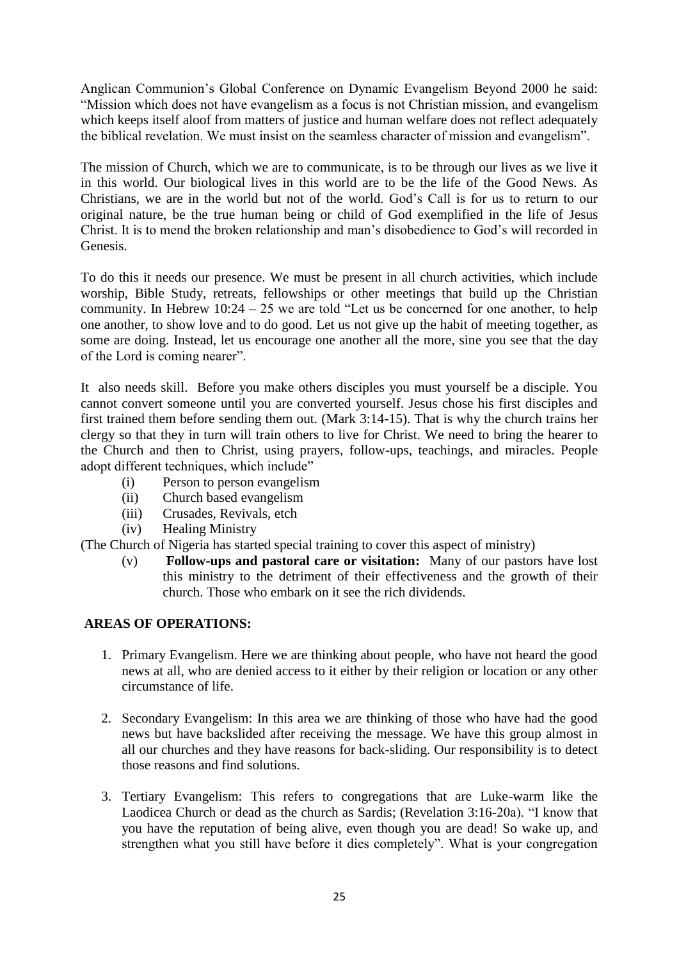Anglican Communion"s Global Conference on Dynamic Evangelism Beyond 2000 he said: "Mission which does not have evangelism as a focus is not Christian mission, and evangelism which keeps itself aloof from matters of justice and human welfare does not reflect adequately the biblical revelation. We must insist on the seamless character of mission and evangelism".

The mission of Church, which we are to communicate, is to be through our lives as we live it in this world. Our biological lives in this world are to be the life of the Good News. As Christians, we are in the world but not of the world. God"s Call is for us to return to our original nature, be the true human being or child of God exemplified in the life of Jesus Christ. It is to mend the broken relationship and man"s disobedience to God"s will recorded in Genesis.

To do this it needs our presence. We must be present in all church activities, which include worship, Bible Study, retreats, fellowships or other meetings that build up the Christian community. In Hebrew 10:24 – 25 we are told "Let us be concerned for one another, to help one another, to show love and to do good. Let us not give up the habit of meeting together, as some are doing. Instead, let us encourage one another all the more, sine you see that the day of the Lord is coming nearer".

It also needs skill. Before you make others disciples you must yourself be a disciple. You cannot convert someone until you are converted yourself. Jesus chose his first disciples and first trained them before sending them out. (Mark 3:14-15). That is why the church trains her clergy so that they in turn will train others to live for Christ. We need to bring the hearer to the Church and then to Christ, using prayers, follow-ups, teachings, and miracles. People adopt different techniques, which include"

- (i) Person to person evangelism
- (ii) Church based evangelism
- (iii) Crusades, Revivals, etch
- (iv) Healing Ministry

(The Church of Nigeria has started special training to cover this aspect of ministry)

(v) **Follow-ups and pastoral care or visitation:** Many of our pastors have lost this ministry to the detriment of their effectiveness and the growth of their church. Those who embark on it see the rich dividends.

# **AREAS OF OPERATIONS:**

- 1. Primary Evangelism. Here we are thinking about people, who have not heard the good news at all, who are denied access to it either by their religion or location or any other circumstance of life.
- 2. Secondary Evangelism: In this area we are thinking of those who have had the good news but have backslided after receiving the message. We have this group almost in all our churches and they have reasons for back-sliding. Our responsibility is to detect those reasons and find solutions.
- 3. Tertiary Evangelism: This refers to congregations that are Luke-warm like the Laodicea Church or dead as the church as Sardis; (Revelation 3:16-20a). "I know that you have the reputation of being alive, even though you are dead! So wake up, and strengthen what you still have before it dies completely". What is your congregation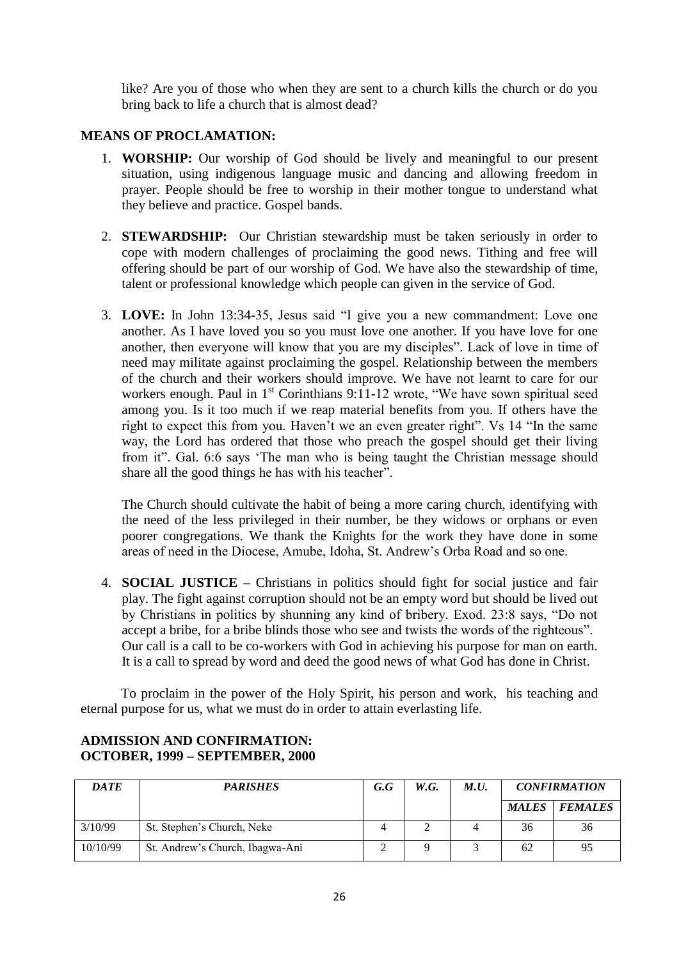like? Are you of those who when they are sent to a church kills the church or do you bring back to life a church that is almost dead?

# **MEANS OF PROCLAMATION:**

- 1. **WORSHIP:** Our worship of God should be lively and meaningful to our present situation, using indigenous language music and dancing and allowing freedom in prayer. People should be free to worship in their mother tongue to understand what they believe and practice. Gospel bands.
- 2. **STEWARDSHIP:** Our Christian stewardship must be taken seriously in order to cope with modern challenges of proclaiming the good news. Tithing and free will offering should be part of our worship of God. We have also the stewardship of time, talent or professional knowledge which people can given in the service of God.
- 3. **LOVE:** In John 13:34-35, Jesus said "I give you a new commandment: Love one another. As I have loved you so you must love one another. If you have love for one another, then everyone will know that you are my disciples". Lack of love in time of need may militate against proclaiming the gospel. Relationship between the members of the church and their workers should improve. We have not learnt to care for our workers enough. Paul in  $1<sup>st</sup>$  Corinthians 9:11-12 wrote, "We have sown spiritual seed among you. Is it too much if we reap material benefits from you. If others have the right to expect this from you. Haven"t we an even greater right". Vs 14 "In the same way, the Lord has ordered that those who preach the gospel should get their living from it". Gal. 6:6 says "The man who is being taught the Christian message should share all the good things he has with his teacher".

The Church should cultivate the habit of being a more caring church, identifying with the need of the less privileged in their number, be they widows or orphans or even poorer congregations. We thank the Knights for the work they have done in some areas of need in the Diocese, Amube, Idoha, St. Andrew"s Orba Road and so one.

4. **SOCIAL JUSTICE –** Christians in politics should fight for social justice and fair play. The fight against corruption should not be an empty word but should be lived out by Christians in politics by shunning any kind of bribery. Exod. 23:8 says, "Do not accept a bribe, for a bribe blinds those who see and twists the words of the righteous". Our call is a call to be co-workers with God in achieving his purpose for man on earth. It is a call to spread by word and deed the good news of what God has done in Christ.

To proclaim in the power of the Holy Spirit, his person and work, his teaching and eternal purpose for us, what we must do in order to attain everlasting life.

| <b>DATE</b> | <b>PARISHES</b>                 | G.G | W.G. | M.U. | <b>CONFIRMATION</b> |                |
|-------------|---------------------------------|-----|------|------|---------------------|----------------|
|             |                                 |     |      |      | <b>MALES</b>        | <b>FEMALES</b> |
| 3/10/99     | St. Stephen's Church, Neke      |     |      |      | 36                  | 36             |
| 10/10/99    | St. Andrew's Church, Ibagwa-Ani |     |      |      | 62                  | 95             |

### **ADMISSION AND CONFIRMATION: OCTOBER, 1999 – SEPTEMBER, 2000**